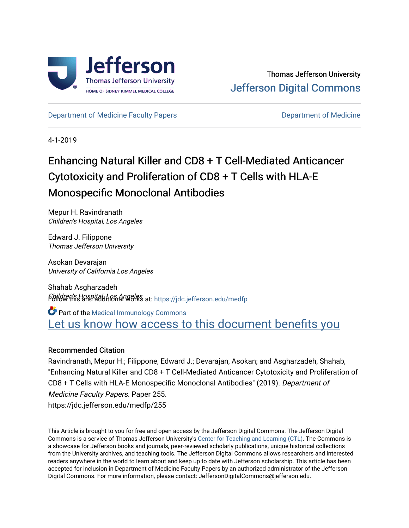

[Department of Medicine Faculty Papers](https://jdc.jefferson.edu/medfp) **Department of Medicine** 

4-1-2019

# Enhancing Natural Killer and CD8 + T Cell-Mediated Anticancer Cytotoxicity and Proliferation of CD8 + T Cells with HLA-E Monospecific Monoclonal Antibodies

Mepur H. Ravindranath Children's Hospital, Los Angeles

Edward J. Filippone Thomas Jefferson University

Asokan Devarajan University of California Los Angeles

Shahab Asgharzadeh Children's Hospital, Los Angeles Follow this and additional works at: [https://jdc.jefferson.edu/medfp](https://jdc.jefferson.edu/medfp?utm_source=jdc.jefferson.edu%2Fmedfp%2F255&utm_medium=PDF&utm_campaign=PDFCoverPages) 

Part of the [Medical Immunology Commons](http://network.bepress.com/hgg/discipline/671?utm_source=jdc.jefferson.edu%2Fmedfp%2F255&utm_medium=PDF&utm_campaign=PDFCoverPages)  Let us know how access to this document benefits you

### Recommended Citation

Ravindranath, Mepur H.; Filippone, Edward J.; Devarajan, Asokan; and Asgharzadeh, Shahab, "Enhancing Natural Killer and CD8 + T Cell-Mediated Anticancer Cytotoxicity and Proliferation of CD8 + T Cells with HLA-E Monospecific Monoclonal Antibodies" (2019). Department of Medicine Faculty Papers. Paper 255. https://jdc.jefferson.edu/medfp/255

This Article is brought to you for free and open access by the Jefferson Digital Commons. The Jefferson Digital Commons is a service of Thomas Jefferson University's [Center for Teaching and Learning \(CTL\)](http://www.jefferson.edu/university/teaching-learning.html/). The Commons is a showcase for Jefferson books and journals, peer-reviewed scholarly publications, unique historical collections from the University archives, and teaching tools. The Jefferson Digital Commons allows researchers and interested readers anywhere in the world to learn about and keep up to date with Jefferson scholarship. This article has been accepted for inclusion in Department of Medicine Faculty Papers by an authorized administrator of the Jefferson Digital Commons. For more information, please contact: JeffersonDigitalCommons@jefferson.edu.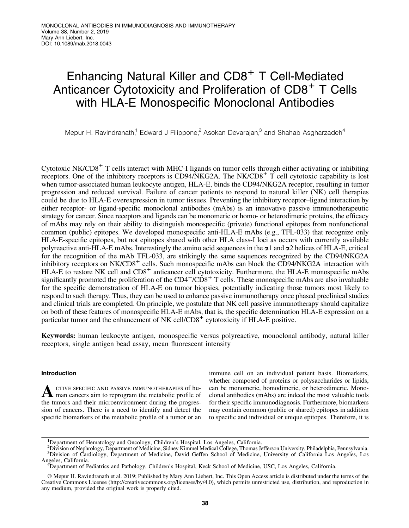## Enhancing Natural Killer and CD8<sup>+</sup> T Cell-Mediated Anticancer Cytotoxicity and Proliferation of CD8<sup>+</sup> T Cells with HLA-E Monospecific Monoclonal Antibodies

Mepur H. Ravindranath,<sup>1</sup> Edward J Filippone,<sup>2</sup> Asokan Devarajan,<sup>3</sup> and Shahab Asgharzadeh<sup>4</sup>

Cytotoxic  $NK/CD8<sup>+</sup>$  T cells interact with MHC-I ligands on tumor cells through either activating or inhibiting receptors. One of the inhibitory receptors is  $CD94/NKG2A$ . The  $NK/CD8<sup>+</sup> T$  cell cytotoxic capability is lost when tumor-associated human leukocyte antigen, HLA-E, binds the CD94/NKG2A receptor, resulting in tumor progression and reduced survival. Failure of cancer patients to respond to natural killer (NK) cell therapies could be due to HLA-E overexpression in tumor tissues. Preventing the inhibitory receptor–ligand interaction by either receptor- or ligand-specific monoclonal antibodies (mAbs) is an innovative passive immunotherapeutic strategy for cancer. Since receptors and ligands can be monomeric or homo- or heterodimeric proteins, the efficacy of mAbs may rely on their ability to distinguish monospecific (private) functional epitopes from nonfunctional common (public) epitopes. We developed monospecific anti-HLA-E mAbs (e.g., TFL-033) that recognize only HLA-E-specific epitopes, but not epitopes shared with other HLA class-I loci as occurs with currently available polyreactive anti-HLA-E mAbs. Interestingly the amino acid sequences in the  $\alpha$ 1 and  $\alpha$ 2 helices of HLA-E, critical for the recognition of the mAb TFL-033, are strikingly the same sequences recognized by the CD94/NKG2A inhibitory receptors on NK/CD8<sup>+</sup> cells. Such monospecific mAbs can block the CD94/NKG2A interaction with HLA-E to restore NK cell and CD8<sup>+</sup> anticancer cell cytotoxicity. Furthermore, the HLA-E monospecific mAbs significantly promoted the proliferation of the  $CD4<sup>-</sup>/CD8<sup>+</sup>$  T cells. These monospecific mAbs are also invaluable for the specific demonstration of HLA-E on tumor biopsies, potentially indicating those tumors most likely to respond to such therapy. Thus, they can be used to enhance passive immunotherapy once phased preclinical studies and clinical trials are completed. On principle, we postulate that NK cell passive immunotherapy should capitalize on both of these features of monospecific HLA-E mAbs, that is, the specific determination HLA-E expression on a particular tumor and the enhancement of NK cell/ $CDS<sup>+</sup>$  cytotoxicity if HLA-E positive.

Keywords: human leukocyte antigen, monospecific versus polyreactive, monoclonal antibody, natural killer receptors, single antigen bead assay, mean fluorescent intensity

#### Introduction

A CTIVE SPECIFIC AND PASSIVE IMMUNOTHERAPIES of hu-<br>man cancers aim to reprogram the metabolic profile of the tumors and their microenvironment during the progression of cancers. There is a need to identify and detect the specific biomarkers of the metabolic profile of a tumor or an immune cell on an individual patient basis. Biomarkers, whether composed of proteins or polysaccharides or lipids, can be monomeric, homodimeric, or heterodimeric. Monoclonal antibodies (mAbs) are indeed the most valuable tools for their specific immunodiagnosis. Furthermore, biomarkers may contain common (public or shared) epitopes in addition to specific and individual or unique epitopes. Therefore, it is

<sup>&</sup>lt;sup>1</sup>Department of Hematology and Oncology, Children's Hospital, Los Angeles, California.

<sup>2</sup> Division of Nephrology, Department of Medicine, Sidney Kimmel Medical College, Thomas Jefferson University, Philadelphia, Pennsylvania. 3 Division of Cardiology, Department of Medicine, David Geffen School of Medicine, University of California Los Angeles, Los Angeles, California. <sup>4</sup>

Department of Pediatrics and Pathology, Children's Hospital, Keck School of Medicine, USC, Los Angeles, California.

ª Mepur H. Ravindranath et al. 2019; Published by Mary Ann Liebert, Inc. This Open Access article is distributed under the terms of the Creative Commons License (<http://creativecommons.org/licenses/by/4.0>), which permits unrestricted use, distribution, and reproduction in any medium, provided the original work is properly cited.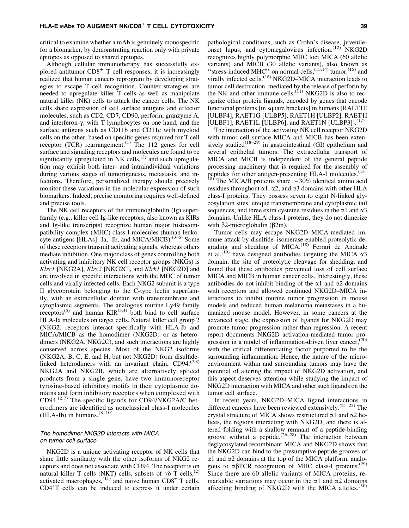critical to examine whether a mAb is genuinely monospecific for a biomarker, by demonstrating reaction only with private epitopes as opposed to shared epitopes.

Although cellular immunotherapy has successfully explored antitumor  $CD8<sup>+</sup>$  T cell responses, it is increasingly realized that human cancers reprogram by developing strategies to escape T cell recognition. Counter strategies are needed to upregulate killer T cells as well as manipulate natural killer (NK) cells to attack the cancer cells. The NK cells share expression of cell surface antigens and effector molecules, such as CD2, CD7, CD90, perforin, granzyme A, and interferon- $\gamma$ , with T lymphocytes on one hand, and the surface antigens such as CD11b and CD11c with myeloid cells on the other, based on specific genes required for T cell receptor (TCR) rearrangement.<sup>(1)</sup> The 112 genes for cell surface and signaling receptors and molecules are found to be significantly upregulated in NK cells,<sup> $(2)$ </sup> and such upregulation may exhibit both inter- and intraindividual variations during various stages of tumorigenesis, metastasis, and infections. Therefore, personalized therapy should precisely monitor these variations in the molecular expression of such biomarkers. Indeed, precise monitoring requires well-defined and precise tools.

The NK cell receptors of the immunoglobulin (Ig) superfamily (e.g., killer cell Ig-like receptors, also known as KIRs and Ig-like transcripts) recognize human major histocompatibility complex (MHC) class-I molecules (human leukocyte antigens [HLAs] -Ia, -Ib, and MICA/MICB). $^{(3-6)}$  Some of these receptors transmit activating signals, whereas others mediate inhibition. One major class of genes controlling both activating and inhibitory NK cell receptor groups (NKGs) is *Klrc1* [NKG2A], *Klrc2* [NKG2C], and *Klrk1* [NKG2D] and are involved in specific interactions with the MHC of tumor cells and virally infected cells. Each NKG2 subunit is a type II glycoprotein belonging to the C-type lectin superfamily, with an extracellular domain with transmembrane and cytoplasmic segments. The analogous murine Ly49 family receptors<sup>(5)</sup> and human  $KIR^{(3,4)}$  both bind to cell surface HLA-Ia molecules on target cells. Natural killer cell group 2 (NKG2) receptors interact specifically with HLA-Ib and MICA/MICB as the homodimer (NKG2D) or as heterodimers (NKG2A, NKG2C), and such interactions are highly conserved across species. Most of the NKG2 isoforms (NKG2A, B, C, E, and H, but not NKG2D) form disulfidelinked heterodimers with an invariant chain,  $CD94$ .<sup> $(7,8)$ </sup> NKG2A and NKG2B, which are alternatively spliced products from a single gene, have two immunoreceptor tyrosine-based inhibitory motifs in their cytoplasmic domains and form inhibitory receptors when complexed with CD94. $(2,7)$  The specific ligands for CD94/NKG2A/C heterodimers are identified as nonclassical class-I molecules (HLA-Ib) in humans. $(8-10)$ 

#### The homodimer NKG2D interacts with MICA on tumor cell surface

NKG2D is a unique activating receptor of NK cells that share little similarity with the other isoforms of NKG2 receptors and does not associate with CD94. The receptor is on natural killer T cells (NKT) cells, subsets of  $\gamma \delta$  T cells,<sup>(2)</sup> activated macrophages,<sup>(11)</sup> and naive human  $\text{CD8}^+$  T cells. CD4<sup>+</sup> T cells can be induced to express it under certain

pathological conditions, such as Crohn's disease, juvenileonset lupus, and cytomegalovirus infection. $(12)$  NKG2D recognizes highly polymorphic MHC loci MICA (60 allelic variants) and MICB (30 allelic variants), also known as "stress-induced MHC" on normal cells, $^{(13,14)}$  tumor, $^{(15)}$  and virally infected cells.<sup>(16)</sup> NKG2D–MICA interaction leads to tumor cell destruction, mediated by the release of perforin by the NK and other immune cells.<sup> $(11)$ </sup> NKG2D is also to recognize other protein ligands, encoded by genes that encode functional proteins [in square brackets] in humans (RAET1E [ULBP4], RAET1G [ULBP5], RAET1H [ULBP2], RAET1I [ULBP1], RAET1L [ULBP6], and RAET1N [ULBP3]).<sup>(17)</sup>

The interaction of the activating NK cell receptor NKG2D with tumor cell surface MICA and MICB has been extensively studied<sup>(18–29)</sup> in gastrointestinal (GI) epithelium and several epithelial tumors. The extracellular transport of MICA and MICB is independent of the general peptide processing machinery that is required for the assembly of peptides for other antigen-presenting HLA-I molecules.<sup>(13–</sup> <sup>18)</sup> The MICA/B proteins share  $\sim$  30% identical amino acid residues throughout  $\alpha$ 1,  $\alpha$ 2, and  $\alpha$ 3 domains with other HLA

class-I proteins. They possess seven to eight N-linked glycosylation sites, unique transmembrane and cytoplasmic tail sequences, and three extra cysteine residues in the  $\alpha$ 1 and  $\alpha$ 3 domains. Unlike HLA class-I proteins, they do not dimerize with  $\beta$ 2-microglobulin ( $\beta$ 2m).

Tumor cells may escape NKG2D–MICA-mediated immune attack by disulfide–isomerase-enabled proteolytic degrading and shedding of MICA.<sup>(18)</sup> Ferrari de Andrade et al.<sup>(19)</sup> have designed antibodies targeting the MICA  $\alpha$ 3 domain, the site of proteolytic cleavage for shedding, and found that these antibodies prevented loss of cell surface MICA and MICB in human cancer cells. Interestingly, these antibodies do not inhibit binding of the  $\alpha$ 1 and  $\alpha$ 2 domains with receptors and allowed continued NKG2D–MICA interactions to inhibit murine tumor progression in mouse models and reduced human melanoma metastases in a humanized mouse model. However, in some cancers at the advanced stage, the expression of ligands for NKG2D may promote tumor progression rather than regression. A recent report documents NKG2D activation-mediated tumor progression in a model of inflammation-driven liver cancer,<sup>(20)</sup> with the critical differentiating factor purported to be the surrounding inflammation. Hence, the nature of the microenvironment within and surrounding tumors may have the potential of altering the impact of NKG2D activation, and this aspect deserves attention while studying the impact of NKG2D interaction with MICA and other such ligands on the tumor cell surface.

In recent years, NKG2D–MICA ligand interactions in different cancers have been reviewed extensively.(21–25) The crystal structure of MICA shows restructured  $\alpha$ 1 and  $\alpha$ 2 helices, the regions interacting with NKG2D, and there is altered folding with a shallow remnant of a peptide-binding groove without a peptide.<sup> $(26-28)$ </sup> The interaction between deglycosylated recombinant MICA and NKG2D shows that the NKG2D can bind to the presumptive peptide grooves of  $\alpha$ 1 and  $\alpha$ 2 domains at the top of the MICA platform, analogous to  $\alpha\beta$ TCR recognition of MHC class-I proteins.<sup>(29)</sup> Since there are 60 allelic variants of MICA proteins, remarkable variations may occur in the  $\alpha$ 1 and  $\alpha$ 2 domains affecting binding of NKG2D with the MICA alleles. $(30)$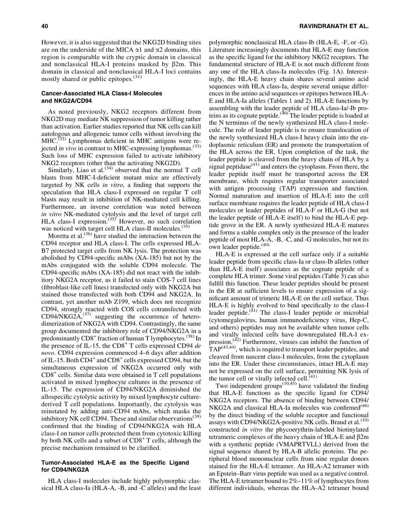However, it is also suggested that the NKG2D binding sites are on the underside of the MICA  $\alpha$ 1 and  $\alpha$ 2 domains, this region is comparable with the cryptic domain in classical and nonclassical HLA-I proteins masked by  $\beta$ 2m. This domain in classical and nonclassical HLA-I loci contains mostly shared or public epitopes.<sup>(31)</sup>

#### Cancer-Associated HLA Class-I Molecules and NKG2A/CD94

As noted previously, NKG2 receptors different from NKG2D may mediate NK suppression of tumor killing rather than activation. Earlier studies reported that NK cells can kill autologous and allogeneic tumor cells without involving the  $MHC$ .<sup>(32)</sup> Lymphomas deficient in MHC antigens were rejected *in vivo* in contrast to MHC-expressing lymphomas.<sup>(33)</sup> Such loss of MHC expression failed to activate inhibitory NKG2 receptors (other than the activating NKG2D).

Similarly, Liao et al.<sup> $(34)$ </sup> observed that the normal T cell blasts from MHC-I-deficient mutant mice are effectively targeted by NK cells *in vitro*, a finding that supports the speculation that HLA class-I expressed on regular T cell blasts may result in inhibition of NK-mediated cell killing. Furthermore, an inverse correlation was noted between *in vitro* NK-mediated cytolysis and the level of target cell HLA class-I expression.<sup> $(35)$ </sup> However, no such correlation was noticed with target cell HLA class-II molecules.<sup>(35)</sup>

Moretta et al.<sup>(36)</sup> have studied the interaction between the CD94 receptor and HLA class-I. The cells expressed HLA-B7 protected target cells from NK lysis. The protection was abolished by CD94-specific mAbs (XA-185) but not by the mAbs conjugated with the soluble CD94 molecule. The CD94-specific mAbs (XA-185) did not react with the inhibitory NKG2A receptor, as it failed to stain COS-7 cell lines (fibroblast-like cell lines) transfected only with NKG2A but stained those transfected with both CD94 and NKG2A. In contrast, yet another mAb Z199, which does not recognize CD94, strongly reacted with COS cells cotransfected with  $CD94/NKG2A<sub>1</sub><sup>(37)</sup>$  suggesting the occurrence of heterodimerization of NKG2A with CD94. Contrastingly, the same group documented the inhibitory role of CD94/NKG2A in a predominantly  $CD8<sup>+</sup>$  fraction of human T lymphocytes.<sup>(38)</sup> In the presence of IL-15, the CD8<sup>+</sup> T cells expressed CD94 *de novo*. CD94 expression commenced 4–6 days after addition of IL-15. Both  $CD4^+$  and  $CD8^+$  cells expressed CD94, but the simultaneous expression of NKG2A occurred only with  $CD8<sup>+</sup>$  cells. Similar data were obtained in T cell populations activated in mixed lymphocyte cultures in the presence of IL-15. The expression of CD94/NKG2A diminished the allospecific cytolytic activity by mixed lymphocyte culturederived T cell populations. Importantly, the cytolysis was reinstated by adding anti-CD94 mAbs, which masks the inhibitory NK cell CD94. These and similar observations<sup>(39)</sup> confirmed that the binding of CD94/NKG2A with HLA class-I on tumor cells protected them from cytotoxic killing by both NK cells and a subset of  $CD8<sup>+</sup>$  T cells, although the precise mechanism remained to be clarified.

#### Tumor-Associated HLA-E as the Specific Ligand for CD94/NKG2A

HLA class-I molecules include highly polymorphic classical HLA class-Ia (HLA-A, -B, and -C alleles) and the least

polymorphic nonclassical HLA class-Ib (HLA-E, -F, or -G). Literature increasingly documents that HLA-E may function as the specific ligand for the inhibitory NKG2 receptors. The fundamental structure of HLA-E is not much different from any one of the HLA class-Ia molecules (Fig. 1A). Interestingly, the HLA-E heavy chain shares several amino acid sequences with HLA class-Ia, despite several unique differences in the amino acid sequences or epitopes between HLA-E and HLA-Ia alleles (Tables 1 and 2). HLA-E functions by assembling with the leader peptide of HLA class-Ia/-Ib proteins as its cognate peptide. $(40)$  The leader peptide is loaded at the N terminus of the newly synthesized HLA class-I molecule. The role of leader peptide is to ensure translocation of the newly synthesized HLA class-I heavy chain into the endoplasmic reticulum (ER) and promote the transportation of the HLA across the ER. Upon completion of the task, the leader peptide is cleaved from the heavy chain of HLA by a signal peptidase $(41)$  and enters the cytoplasm. From there, the leader peptide itself must be transported across the ER membrane, which requires regular transporter associated with antigen processing (TAP) expression and function. Normal maturation and insertion of HLA-E into the cell surface membrane requires the leader peptide of HLA class-I molecules or leader peptides of HLA-F or HLA-G (but not the leader peptide of HLA-E itself) to bind the HLA-E peptide grove in the ER. A newly synthesized HLA-E matures and forms a stable complex only in the presence of the leader peptide of most HLA-A, -B, -C, and -G molecules, but not its own leader peptide. $(40)$ 

HLA-E is expressed at the cell surface only if a suitable leader peptide from specific class-Ia or class-Ib alleles (other than HLA-E itself) associates as the cognate peptide of a complete HLA trimer. Some viral peptides (Table 3) can also fulfill this function. These leader peptides should be present in the ER at sufficient levels to ensure expression of a significant amount of trimeric HLA-E on the cell surface. Thus HLA-E is highly evolved to bind specifically to the class-I leader peptide.<sup>(41)</sup> The class-I leader peptide or microbial (cytomegalovirus, human immunodeficiency virus, Hep-C, and others) peptides may not be available when tumor cells and virally infected cells have downregulated HLA-I expression.<sup>(42)</sup> Furthermore, viruses can inhibit the function of  $TAP<sup>(43,44)</sup>$ , which is required to transport leader peptides, and cleaved from nascent class-I molecules, from the cytoplasm into the ER. Under these circumstances, intact HLA-E may not be expressed on the cell surface, permitting NK lysis of the tumor cell or virally infected cell. $(41)$ 

Two independent groups $^{(10,45)}$  have validated the finding that HLA-E functions as the specific ligand for CD94/ NKG2A receptors. The absence of binding between CD94/ NKG2A and classical HLA-Ia molecules was confirmed<sup>(46)</sup> by the direct binding of the soluble receptor and functional assays with CD94/NKG2A-positive NK cells. Braud et al.<sup>(10)</sup> constructed *in vitro* the phycoerythrin-labeled biotinylated tetrameric complexes of the heavy chain of HLA-E and  $\beta$ 2m with a synthetic peptide (VMAPRTVLL) derived from the signal sequence shared by HLA-B allelic proteins. The peripheral blood mononuclear cells from nine regular donors stained for the HLA-E tetramer. An HLA-A2 tetramer with an Epstein–Barr virus peptide was used as a negative control. The HLA-E tetramer bound to 2%–11% of lymphocytes from different individuals, whereas the HLA-A2 tetramer bound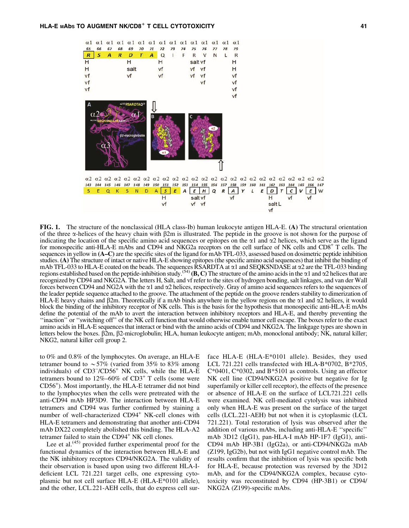

FIG. 1. The structure of the nonclassical (HLA class-Ib) human leukocyte antigen HLA-E. (A) The structural orientation of the three  $\alpha$ -helices of the heavy chain with  $\beta$ 2m is illustrated. The peptide in the groove is not shown for the purpose of indicating the location of the specific amino acid sequences or epitopes on the  $\alpha$ 1 and  $\alpha$ 2 helices, which serve as the ligand for monospecific anti-HLA-E mAbs and CD94 and NKG2a receptors on the cell surface of NK cells and CD8<sup>+</sup> T cells. The sequences in yellow in (A–C) are the specific sites of the ligand for mAb TFL-033, assessed based on dosimetric peptide inhibition studies. (A) The structure of intact or native HLA-E showing epitopes (the specific amino acid sequences) that inhibit the binding of mAb TFL-033 to HLA-E coated on the beads. The sequences RSARDTA at  $\alpha$ 1 and SEQKSNDASE at  $\alpha$ 2 are the TFL-033 binding regions established based on the peptide-inhibition study.<sup>(54)</sup> (B, C) The structure of the amino acids in the  $\alpha$ 1 and  $\alpha$ 2 helices that are recognized by CD94 and NKG2A. The letters H, Salt, and vf refer to the sites of hydrogen bonding, salt linkages, and van der Wall forces between CD94 and NG2A with the  $\alpha$ 1 and  $\alpha$ 2 helices, respectively. Gray of amino acid sequences refers to the sequences of the leader peptide sequence attached to the groove. The attachment of the peptide on the groove renders stability to dimerization of HLA-E heavy chains and  $\beta$ 2m. Theoretically if a mAb binds anywhere in the yellow regions on the  $\alpha$ 1 and  $\alpha$ 2 helices, it would block the binding of the inhibitory receptor of NK cells. This is the basis for the hypothesis that monospecific anti-HLA-E mAbs define the potential of the mAb to avert the interaction between inhibitory receptors and HLA-E, and thereby preventing the ''inaction'' or ''switching off'' of the NK cell function that would otherwise enable tumor cell escape. The boxes refer to the exact amino acids in HLA-E sequences that interact or bind with the amino acids of CD94 and NKG2A. The linkgage types are shown in letters below the boxes.  $\beta$ 2m,  $\beta$ 2-microglobulin; HLA, human leukocyte antigen; mAb, monoclonal antibody; NK, natural killer; NKG2, natural killer cell group 2.

to 0% and 0.8% of the lymphocytes. On average, an HLA-E tetramer bound to  $\sim 57\%$  (varied from 35% to 83% among individuals) of CD3<sup>-</sup>/CD56<sup>+</sup> NK cells, while the HLA-E tetramers bound to  $12\% - 60\%$  of  $CD3^+$  T cells (some were CD56<sup>+</sup> ). Most importantly, the HLA-E tetramer did not bind to the lymphocytes when the cells were pretreated with the anti-CD94 mAb HP3D9. The interaction between HLA-E tetramers and CD94 was further confirmed by staining a number of well-characterized CD94<sup>+</sup> NK-cell clones with HLA-E tetramers and demonstrating that another anti-CD94 mAb DX22 completely abolished this binding. The HLA-A2 tetramer failed to stain the CD94<sup>+</sup> NK cell clones.

Lee et al. $(45)$  provided further experimental proof for the functional dynamics of the interaction between HLA-E and the NK inhibitory receptors CD94/NKG2A. The validity of their observation is based upon using two different HLA-Ideficient LCL 721.221 target cells, one expressing cytoplasmic but not cell surface HLA-E (HLA-E\*0101 allele), and the other, LCL.221-AEH cells, that do express cell sur-

face HLA-E (HLA-E\*0101 allele). Besides, they used LCL 721.221 cells transfected with HLA-B\*0702, B\*2705, C\*0401, C\*0302, and B\*5101 as controls. Using an effector NK cell line (CD94/NKG2A positive but negative for Ig superfamily or killer cell receptor), the effects of the presence or absence of HLA-E on the surface of LCL721.221 cells were examined. NK cell-mediated cytolysis was inhibited only when HLA-E was present on the surface of the target cells (LCL.221-AEH) but not when it is cytoplasmic (LCL 721.221). Total restoration of lysis was observed after the addition of various mAbs, including anti-HLA-E ''specific'' mAb 3D12 (IgG1), pan-HLA-I mAb HP-1F7 (IgG1), anti-CD94 mAb HP-3B1 (IgG2a), or anti-CD94/NKG2a mAb (Z199, IgG2b), but not with IgG1 negative control mAb. The results confirm that the inhibition of lysis was specific both for HLA-E, because protection was reversed by the 3D12 mAb, and for the CD94/NKG2A complex, because cytotoxicity was reconstituted by CD94 (HP-3B1) or CD94/ NKG2A (Z199)-specific mAbs.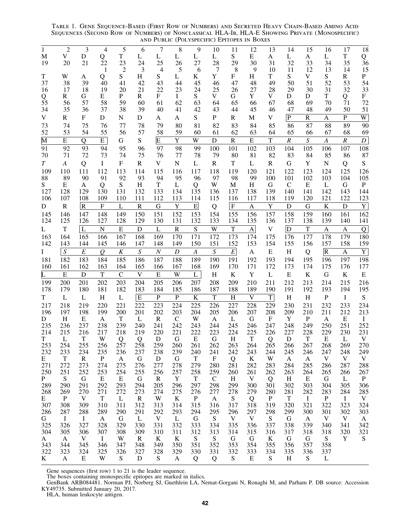Table 1. Gene Sequence-Based (First Row of Numbers) and Secreted Heavy Chain-Based Amino Acid Sequences (Second Row of Numbers) of Nonclassical HLA-Ib, HLA-E Showing Private (Monospecific) and Public (Polyspecific) Epitopes in Boxes

| 1<br>M<br>19                  | $\overline{c}$<br>V<br>20 | 3<br>D<br>21                   | 4<br>Q<br>$\overline{22}$        | 5<br>$\mathbf T$<br>23 | 6<br>L<br>24        | 7<br>L<br>25                    | 8<br>L<br>26          | 9<br>L<br>27                   | 10<br>L<br>28         | 11<br>S<br>29         | 12<br>E<br>30                    | 13<br>A<br>31         | 14<br>L<br>32                  | 15<br>A<br>33                    | 16<br>L<br>34           | 17<br>$\mathbf T$<br>35 | 18<br>$\frac{Q}{36}$            |
|-------------------------------|---------------------------|--------------------------------|----------------------------------|------------------------|---------------------|---------------------------------|-----------------------|--------------------------------|-----------------------|-----------------------|----------------------------------|-----------------------|--------------------------------|----------------------------------|-------------------------|-------------------------|---------------------------------|
| T                             | W                         | A                              | 1<br>Q                           | $\overline{2}$<br>S    | $\mathfrak{Z}$<br>H | $\overline{4}$<br>S             | 5<br>L                | 6<br>K                         | $\overline{7}$<br>Y   | 8<br>F                | 9<br>Η                           | 10<br>T               | 11<br>S                        | 12<br>V                          | 13<br>S                 | 14<br>$\mathbf R$       | 15<br>${\bf P}$                 |
| 37                            | 38                        | 39                             | 40                               | 41                     | 42                  | 43                              | 44                    | 45                             | 46                    | 47                    | 48                               | 49                    | 50                             | 51                               | 52                      | 53                      | 54                              |
| 16<br>Q                       | 17<br>$\mathbf R$         | 18<br>G                        | 19<br>$\mathbf E$                | 20<br>P                | 21<br>R             | 22<br>$\boldsymbol{\mathrm{F}}$ | 23<br>$\bf{I}$        | 24<br>${\bf S}$                | 25<br>V               | 26<br>G               | 27<br>Y                          | 28<br>V               | 29<br>D                        | 30<br>D                          | 31<br>$\mathbf T$       | 32<br>Q                 | 33<br>$\boldsymbol{\mathrm{F}}$ |
| 55                            | 56                        | 57                             | 58                               | 59                     | 60                  | 61                              | 62                    | 63                             | 64                    | 65                    | 66                               | 67                    | 68                             | 69                               | 70                      | 71                      | 72                              |
| 34<br>V                       | 35<br>${\bf R}$           | 36<br>${\bf F}$                | 37<br>D                          | 38<br>${\bf N}$        | 39<br>D             | 40<br>A                         | 41<br>A               | 42<br>S                        | 43<br>${\bf P}$       | 44<br>${\bf R}$       | 45<br>$\mathbf M$                | 46<br>V               | 47<br>$\overline{P}$           | 48<br>$\mathbf R$                | 49<br>$\mathbf{A}$      | 50<br>$\mathbf{P}$      | 51<br>$\overline{W}$            |
| 73                            | 74                        | 75                             | 76                               | 77                     | 78                  | 79                              | 80                    | 81                             | 82                    | 83                    | 84                               | 85                    | 86                             | 87                               | 88                      | 89                      | 90                              |
| 52                            | 53                        | 54                             | 55                               | 56                     | 57                  | 58                              | 59                    | 60                             | 61                    | 62                    | 63                               | 64                    | 65                             | 66                               | 67                      | 68                      | 69                              |
| $\overline{\mathbf{M}}$<br>91 | $\overline{E}$<br>92      | Q<br>93                        | E<br>94                          | G<br>95                | S<br>96             | $\overline{\mathrm{E}}$<br>97   | $\overline{Y}$<br>98  | W<br>99                        | $\mathbf D$<br>100    | ${\bf R}$<br>101      | ${\bf E}$<br>102                 | $\mathbf T$<br>103    | $\cal R$<br>104                | $\overline{S}$<br>105            | $\boldsymbol{A}$<br>106 | $\cal R$<br>107         | $\boldsymbol{D}$<br>108         |
| 70                            | 71                        | 72                             | 73                               | 74                     | 75                  | 76                              | 77                    | 78                             | 79                    | 80                    | 81                               | 82                    | 83                             | 84                               | 85                      | 86                      | 87                              |
| T                             | A                         | Q                              | I                                | F                      | $\mathbf R$         | V                               | ${\bf N}$             | L                              | $\mathbf R$           | T                     | L                                | $\mathbf R$           | G                              | Y                                | ${\bf N}$               | Q                       | S                               |
| 109<br>88                     | 110<br>89                 | 111<br>90                      | 112<br>91                        | 113<br>92              | 114<br>93           | 115<br>94                       | 116<br>95             | 117<br>96                      | 118<br>97             | 119<br>98             | 120<br>99                        | 121<br>100            | 122<br>101                     | 123<br>102                       | 124<br>103              | 125<br>104              | 126<br>105                      |
| S                             | ${\bf E}$                 | $\mathbf{A}$                   | Q                                | ${\bf S}$              | H                   | $\mathbf T$                     | $\bf L$               | Q                              | W                     | $\mathbf M$           | H                                | G                     | $\mathsf{C}$                   | ${\bf E}$                        | L                       | ${\bf G}$               | $\, {\bf P}$                    |
| 127                           | 128                       | 129                            | 130                              | 131                    | 132                 | 133                             | 134                   | 135                            | 136                   | 137                   | 138                              | 139                   | 140                            | 141                              | 142                     | 143                     | 144                             |
| 106<br>D                      | 107<br>${\bf R}$          | 108<br>$\overline{\mathbf{R}}$ | 109<br>$\boldsymbol{\mathrm{F}}$ | 110<br>L               | 111<br>$\mathbf R$  | 112<br>${\bf G}$                | 113<br>$\mathbf Y$    | 114<br>$\mathbf E$             | 115<br>Q              | 116<br>$\rm H$        | 117<br>A                         | 118<br>Y              | 119<br>$\mathbf D$             | 120<br>$\mathbf G$               | 121<br>$\rm K$          | 122<br>$\mathbf D$      | 123<br>$\mathbf Y$              |
| 145                           | 146                       | 147                            | 148                              | 149                    | 150                 | 151                             | 152                   | 153                            | 154                   | 155                   | 156                              | 157                   | 158                            | 159                              | 160                     | 161                     | 162                             |
| 124                           | 125                       | 126                            | 127                              | 128                    | 129                 | 130                             | 131                   | 132                            | 133                   | 134                   | 135                              | 136                   | 137                            | 138                              | 139                     | 140                     | 141                             |
| L<br>163                      | $\mathbf T$<br>164        | L<br>165                       | $\mathbf N$<br>166               | $\overline{E}$<br>167  | D<br>168            | L<br>169                        | $\overline{R}$<br>170 | $\overline{S}$<br>171          | $\overline{W}$<br>172 | $\overline{T}$<br>173 | $\boldsymbol{\mathsf{A}}$<br>174 | $\mathbf V$<br>175    | $\overline{\mathbf{D}}$<br>176 | $\overline{T}$<br>177            | A<br>178                | A<br>179                | Q<br>180                        |
| 142                           | 143                       | 144                            | 145                              | 146                    | 147                 | 148                             | 149                   | 150                            | 151                   | 152                   | 153                              | 154                   | 155                            | 156                              | 157                     | 158                     | 159                             |
| Ι                             | $\boldsymbol{S}$          | $\cal E$                       | $\overline{\varrho}$             | $\cal K$               | $\boldsymbol{S}$    | $\cal N$                        | $\boldsymbol{D}$      | $\boldsymbol{A}$               | $\boldsymbol{S}$      | $\cal E$              | A                                | $\mathbf E$           | H                              | Q                                | $\overline{\mathbb{R}}$ | $\mathbf{A}$            | Y                               |
| 181<br>160                    | 182<br>161                | 183<br>162                     | 184<br>163                       | 185<br>164             | 186<br>165          | 187<br>166                      | 188<br>167            | 189<br>168                     | 190<br>169            | 191<br>170            | 192<br>171                       | 193<br>172            | 194<br>173                     | 195<br>174                       | 196<br>175              | 197<br>176              | 198<br>177                      |
|                               | E                         | $\mathbf D$                    | T                                | $\mathsf{C}$           | V                   | E                               | W                     | L                              | H                     | $\bf K$               | $\mathbf Y$                      | L                     | ${\bf E}$                      | $\bf K$                          | ${\bf G}$               | $\bf K$                 | ${\bf E}$                       |
| 199                           | 200                       | 201                            | 202                              | 203                    | 204                 | 205                             | 206                   | 207                            | 208                   | 209                   | 210                              | 211                   | 212                            | 213                              | 214                     | 215                     | 216                             |
| 178                           | 179                       | 180                            | 181                              | 182                    | 183<br>E            | 184<br>$\overline{P}$           | 185<br>$\overline{P}$ | 186                            | 187<br>$\overline{T}$ | 188                   | 189<br>V                         | 190                   | 191                            | 192                              | 193<br>$\, {\bf P}$     | 194<br>$\bf I$          | 195                             |
| T<br>217                      | L<br>218                  | L<br>219                       | $\boldsymbol{\mathrm{H}}$<br>220 | $\mathbf L$<br>221     | 222                 | 223                             | 224                   | $\overline{\mathbf{K}}$<br>225 | 226                   | H<br>227              | 228                              | $\overline{T}$<br>229 | $\, {\rm H}$<br>230            | $\boldsymbol{\mathrm{H}}$<br>231 | 232                     | 233                     | ${\bf S}$<br>234                |
| 196                           | 197                       | 198                            | 199                              | 200                    | 201                 | 202                             | 203                   | 204                            | 205                   | 206                   | 207                              | 208                   | 209                            | 210                              | 211                     | 212                     | 213                             |
| D<br>235                      | H<br>236                  | Е<br>237                       | A<br>238                         | $\mathbf T$<br>239     | L<br>240            | $\mathbf R$<br>241              | $\mathsf{C}$<br>242   | W<br>243                       | A<br>244              | L<br>245              | G<br>246                         | F<br>247              | Y<br>248                       | $\mathbf P$<br>249               | A<br>250                | E<br>251                | $\bf{I}$<br>252                 |
| 214                           | 215                       | 216                            | 217                              | 218                    | 219                 | 220                             | 221                   | 222                            | 223                   | 224                   | 225                              | 226                   | 227                            | 228                              | 229                     | 230                     | 231                             |
| T<br>253                      | L<br>254                  | $\mathbf T$<br>255             | W<br>256                         | Q<br>257               | Q<br>258            | D<br>259                        | G<br>260              | E<br>261                       | G<br>262              | H<br>263              | T<br>264                         | Q<br>265              | D<br>266                       | T<br>267                         | E<br>268                | L<br>269                | V<br>270                        |
| 232                           | 233                       | 234                            | 235                              | 236                    | 237                 | 238                             | 239                   | 240                            | 241                   | 242                   | 243                              | 244                   | 245                            | 246                              | 247                     | 248                     | 249                             |
| E<br>271                      | $\mathbf T$<br>272        | $\mathbf R$<br>273             | $\mathbf P$<br>274               | A<br>275               | G<br>276            | D<br>277                        | G<br>278              | $\mathbf T$<br>279             | $\mathbf F$<br>280    | Q<br>281              | K<br>282                         | W<br>283              | A<br>284                       | A<br>285                         | V<br>286                | $\mathbf V$<br>287      | $\mathbf{V}$<br>288             |
| 250                           | 251                       | 252                            | 253                              | 254                    | 255                 | 256                             | 257                   | 258                            | 259                   | 260                   | 261                              | 262                   | 263                            | 264                              | 265                     | 266                     | 267                             |
| P<br>289                      | S<br>290                  | G<br>291                       | Е<br>292                         | Е<br>293               | G<br>294            | $\bf R$<br>205                  | $\mathbf Y$<br>296    | $\mathbf T$<br>297             | $\mathsf{C}$<br>298   | H<br>299              | $\mathbf V$<br>300               | Q<br>301              | H<br>302                       | E<br>303                         | G<br>304                | L<br>305                | $\mathbf{P}$<br>306             |
| 268                           | 269                       | 270                            | 271                              | 272                    | 273                 | 274                             | 275                   | 276                            | 277                   | 278                   | 279                              | 280                   | 281                            | 282                              | 283                     | 284                     | 285                             |
| Е                             | $\mathbf{P}$              | $\mathbf{V}$<br>309            | $\mathbf T$<br>310               | L<br>311               | $\mathbb{R}$<br>312 | W<br>313                        | $\bf K$<br>314        | $\mathbf{P}$<br>315            | $\mathbf{A}$<br>316   | S<br>317              | Q<br>318                         | $\mathbf{P}$<br>319   | $\mathbf T$<br>320             | $\mathbf{I}$<br>321              | $\mathbf{P}$<br>322     | $\mathbf{I}$<br>323     | V<br>324                        |
| 307<br>286                    | 308<br>287                | 288                            | 289                              | 290                    | 291                 | 292                             | 293                   | 294                            | 295                   | 296                   | 297                              | 298                   | 299                            | 300                              | 301                     | 302                     | 303                             |
| G                             | $\mathbf{I}$              | $\bf{I}$                       | $\mathbf{A}$                     | G                      | $\mathbf{L}$        | $\mathbf V$                     | L                     | G                              | S                     | $\mathbf V$           | $\mathbf V$                      | S                     | G                              | $\mathbf{A}$                     | $\mathbf V$             | $\mathbf{V}$            | A                               |
| 325<br>304                    | 326<br>305                | 327<br>306                     | 328<br>307                       | 329<br>308             | 330<br>309          | 331<br>310                      | 332<br>311            | 333<br>312                     | 334<br>313            | 335<br>314            | 336<br>315                       | 337<br>316            | 338<br>317                     | 339<br>318                       | 340<br>318              | 341<br>320              | 342<br>321                      |
| A                             | A                         | $\mathbf{V}$                   | $\mathbf I$                      | W                      | R                   | $\bf K$                         | $\bf K$               | S                              | S                     | G                     | G                                | $\bf K$               | G                              | G                                | S                       | Y                       | S                               |
| 343<br>322                    | 344<br>323                | 345<br>324                     | 346<br>325                       | 347<br>326             | 348<br>327          | 349<br>328                      | 350<br>329            | 351<br>330                     | 352<br>331            | 353<br>332            | 354<br>333                       | 355<br>334            | 356<br>335                     | 357<br>336                       | 358<br>337              |                         |                                 |
| K                             | A                         | Е                              | W                                | S                      | D                   | S                               | A                     | Q                              | Q                     | S                     | E                                | S                     | H                              | S                                | L                       |                         |                                 |

Gene sequences (first row) 1 to 21 is the leader sequence.

The boxes containing monospecific epitopes are marked in italics.

GenBank ARB084481. Norman PJ, Norberg SJ, Guethlein LA, Nemat-Gorgani N, Ronaghi M, and Parham P. DB source: Accession KY49735. Submitted January 20, 2017.

HLA, human leukocyte antigen.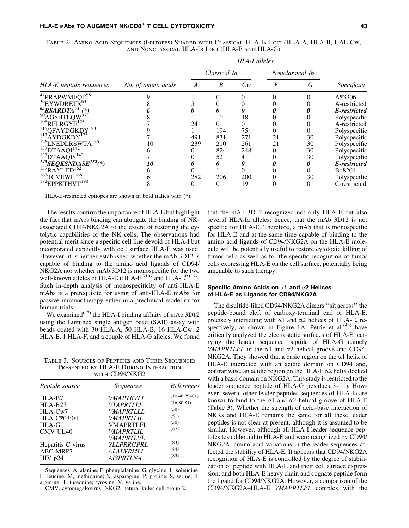|                                                     |                    |     | Classical Ia |       |                  | Nonclassical Ib |              |
|-----------------------------------------------------|--------------------|-----|--------------|-------|------------------|-----------------|--------------|
| HLA-E peptide sequences                             | No. of amino acids | A   | B            | $C_W$ | $\boldsymbol{F}$ | G               | Specificity  |
| <sup>47</sup> PRAPWMEQE <sup>55</sup>               |                    |     | 0            |       |                  |                 | $A*3306$     |
| <sup>59</sup> EYWDRETR <sup>65</sup>                |                    |     |              |       |                  |                 | A-restricted |
| $\frac{65}{3}$ RSARDTA <sup>71</sup> $\binom{*}{4}$ |                    |     |              | 0     |                  |                 | E-restricted |
| <sup>90</sup> AGSHTLQW                              |                    |     | 10           | 48    |                  |                 | Polyspecific |
| $108$ RFLRGYE <sup>123</sup>                        |                    | 24  |              |       |                  |                 | A-restricted |
| <sup>115</sup> QFAYDGKDY <sup>123</sup>             |                    |     | 194          | 75    |                  |                 | Polyspecific |
| $117$ AYDGKDY <sup>123</sup>                        |                    | 491 | 831          | 271   | 21               | 30              | Polyspecific |
| <sup>126</sup> LNEDLRSWTA <sup>135</sup>            | 10                 | 239 | 210          | 261   | 21               | 30              | Polyspecific |
| $137$ DTAAQI $142$                                  |                    |     | 824          | 248   | 0                | 30              | Polyspecific |
| $^{137}DTAA\tilde{Q}IS^{143}$                       |                    |     | 52           |       |                  | 30              | Polyspecific |
| $^{143}$ SEQKSNDASE <sup>152</sup> (*)              | 10                 |     |              |       |                  | 0               | E-restricted |
| $157$ RAYLED <sup>162</sup>                         |                    |     |              |       |                  |                 | B*8201       |
| $^{163}$ TCVEWL $^{168}$                            |                    | 282 | 206          | 200   |                  | 30              | Polyspecific |
| $182$ EPPKTHVT $190$                                |                    |     | 0            | 19    | 0                | 0               | C-restricted |

Table 2. Amino Acid Sequences (Epitopes) Shared with Classical HLA-Ia Loci (HLA-A, HLA-B, HAL-Cw, and Nonclassical HLA-Ib Loci (HLA-F and HLA-G)

HLA-E-restricted epitopes are shown in bold italics with (\*).

The results confirm the importance of HLA-E but highlight the fact that mAbs binding can abrogate the binding of NKassociated CD94/NKG2A to the extent of restoring the cytolytic capabilities of the NK cells. The observations had potential merit since a specific cell line devoid of HLA-I but incorporated explicitly with cell surface HLA-E was used. However, it is neither established whether the mAb 3D12 is capable of binding to the amino acid ligands of CD94/ NKG2A nor whether mAb 3D12 is monospecific for the two well-known alleles of HLA-E (HLA- $E^{\rm G107}$  and HLA- $E^{\rm R107}$ ). Such in-depth analysis of monospecificity of anti-HLA-E mAbs is a prerequisite for using of anti-HLA-E mAbs for passive immunotherapy either in a preclinical model or for human trials.

We examined<sup>(47)</sup> the HLA-I binding affinity of mAb 3D12 using the Luminex single antigen bead (SAB) assay with beads coated with 30 HLA-A, 50 HLA-B, 16 HLA-Cw, 2 HLA-E, 1 HLA-F, and a couple of HLA-G alleles. We found

TABLE 3. SOURCES OF PEPTIDES AND THEIR SEQUENCES Presented by HLA-E During Interaction WITH CD94/NKG2

| Peptide source    | Sequences               | References          |
|-------------------|-------------------------|---------------------|
| $HLA-B7$          | <i>VMAPTRVLL</i>        | $(10, 46, 79 - 81)$ |
| $HLA-B27$         | <i>VTAPRTIJJ.</i>       | (46, 80, 81)        |
| HLA-Cw7           | <i>VMAPRTLLL</i>        | (50)                |
| $HLA-C*03:04$     | <i><b>VMAPRTLIL</b></i> | (51)                |
| HLA-G             | <b>VMAPRTLFL</b>        | (50)                |
| <b>CMV UL40</b>   | <i>VMAPRTLIL</i>        | (82)                |
|                   | <i>VMAPRTLVL</i>        |                     |
| Hepatitis C virus | <b>YLLPRRGPRL</b>       | (83)                |
| <b>ABC MRP7</b>   | <i>ALALVRMLI</i>        | (84)                |
| $HIV$ p24         | <b>AISPRTLNA</b>        | (85)                |

Sequences: A, alanine; F, phenylalanine; G, glycine; I, isoleucine; L, leucine; M, methionine; N, asparagine; P, proline; S, serine; R, arginine; T, threonine; tyrosine;  $\hat{V}$ , valine.

CMV, cytomegalovirus; NKG2, natural killer cell group 2.

that the mAb 3D12 recognized not only HLA-E but also several HLA-Ia alleles; hence, that the mAb 3D12 is not specific for HLA-E. Therefore, a mAb that is monospecific for HLA-E and at the same time capable of binding to the amino acid ligands of CD94/NKG2A on the HLA-E molecule will be potentially useful to restore cytotoxic killing of tumor cells as well as for the specific recognition of tumor cells expressing HLA-E on the cell surface, potentially being amenable to such therapy.

#### Specific Amino Acids on  $\alpha$ 1 and  $\alpha$ 2 Helices of HLA-E as Ligands for CD94/NKG2A

The disulfide-liked CD94/NKG2A dimers ''sit across'' the peptide-bound cleft of carboxy-terminal end of HLA-E, precisely interacting with  $\alpha$ 1 and  $\alpha$ 2 helices of HLA-E, respectively, as shown in Figure 1A. Petrie et al.<sup>(48)</sup> have critically analyzed the electrostatic surfaces of HLA-E, carrying the leader sequence peptide of HLA-G namely *VMAPRTLFL* in the  $\alpha$ 1 and  $\alpha$ 2 helical groove and CD94-NKG2A. They showed that a basic region on the  $\alpha$ 1 helix of HLA-E interacted with an acidic domain on CD94 and, contrariwise, an acidic region on the HLA-E  $\alpha$ 2 helix docked with a basic domain on NKG2A. This study is restricted to the leader sequence peptide of HLA-G (residues 3–11). However, several other leader peptides sequences of HLA-Ia are known to bind to the  $\alpha$ 1 and  $\alpha$ 2 helical groove of HLA-E (Table 3). Whether the strength of acid–base interaction of NKRs and HLA-E remains the same for all these leader peptides is not clear at present, although it is assumed to be similar. However, although all HLA-I leader sequence peptides tested bound to HLA-E and were recognized by CD94/ NKG2A, amino acid variations in the leader sequences affected the stability of HLA-E. It appears that CD94/NKG2A recognition of HLA-E is controlled by the degree of stabilization of peptide with HLA-E and their cell surface expression, and both HLA-E heavy chain and cognate peptide form the ligand for CD94/NKG2A. However, a comparison of the CD94/NKG2A–HLA-E *VMAPRTLFL* complex with the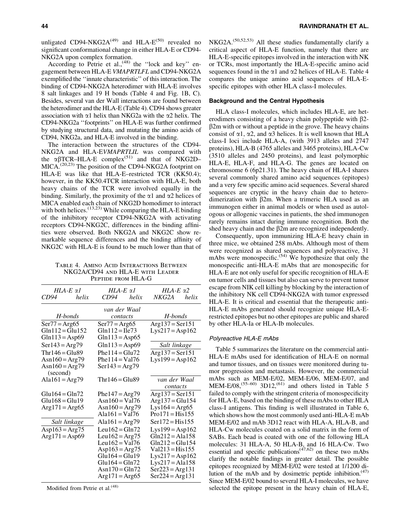unligated CD94-NKG2A $^{(49)}$  and HLA-E<sup>(50)</sup> revealed no significant conformational change in either HLA-E or CD94- NKG2A upon complex formation.

According to Petrie et al.,<sup> $(48)$ </sup> the "lock and key" engagement between HLA-E *VMAPRTLFL* and CD94-NKG2A exemplified the ''innate characteristic'' of this interaction. The binding of CD94-NKG2A heterodimer with HLA-E involves 8 salt linkages and 19 H bonds (Table 4 and Fig. 1B, C). Besides, several van der Wall interactions are found between the heterodimer and the HLA-E (Table 4). CD94 shows greater association with  $\alpha$ 1 helix than NKG2a with the  $\alpha$ 2 helix. The CD94-NKG2a ''footprints'' on HLA-E was further confirmed by studying structural data, and mutating the amino acids of CD94, NKG2a, and HLA-E involved in the binding.

The interaction between the structures of the CD94- NKG2A and HLA-E*VMAPRTLIL* was compared with the  $\alpha\beta$ TCR–HLA-E complex<sup>(51)</sup> and that of NKG2D–  $MICA.^{(20,23)}$  The position of the CD94-NKG2A footprint on HLA-E was like that HLA-E–restricted TCR (KK50.4); however, in the KK50.4TCR interaction with HLA-E, both heavy chains of the TCR were involved equally in the binding. Similarly, the proximity of the  $\alpha$ 1 and  $\alpha$ 2 helices of MICA enabled each chain of NKG2D homodimer to interact with both helices.<sup>(13,23)</sup> While comparing the HLA-E binding of the inhibitory receptor CD94-NKG2A with activating receptors CD94-NKG2C, differences in the binding affinities were observed. Both NKG2A and NKG2C show remarkable sequence differences and the binding affinity of NKG2C with HLA-E is found to be much lower than that of

Table 4. Amino Acid Interactions Between NKG2A/CD94 and HLA-E with Leader Peptide from HLA-G

| $HLA-E \alpha l$                     |              | $HLA-E \alpha l$         |       | HLA-E $\alpha$ 2  |       |  |
|--------------------------------------|--------------|--------------------------|-------|-------------------|-------|--|
| CD94                                 | helix        | CD94                     | helix | NKG2A             | helix |  |
|                                      |              | van der Waal             |       |                   |       |  |
|                                      | H-bonds      | contacts                 |       | H-bonds           |       |  |
| $Ser77 = Arg65$                      |              | $Ser77 = Arg65$          |       | $Arg137 = Ser151$ |       |  |
| $Gln 112 = Gln 152$                  |              | $Gln 112 = Ile73$        |       | $Lys217 = Asp162$ |       |  |
| Gln $113$ = Asp69                    |              | Gln $113 =$ Asp65        |       |                   |       |  |
| $Ser143 = Arg79$                     |              | $Gln 113 = Asp69$        |       | Salt linkage      |       |  |
| $Thr146 = Glu89$                     |              | Phe $114 =$ Glu $72$     |       | $Arg137 = Ser151$ |       |  |
| Asn $160 = \text{Arg}79$             |              | Phe $114 = \text{Val}76$ |       | $Lys199 = Asp162$ |       |  |
| Asn $160 = \text{Arg}79$<br>(second) |              | $Ser143 = Arg79$         |       |                   |       |  |
| Ala $161 = \text{Arg}79$             |              | $Thr146 = Glu89$         |       | van der Waal      |       |  |
|                                      |              |                          |       | contacts          |       |  |
| $Glu164 = Gln72$                     |              | Phe $147 = Arg79$        |       | $Arg137 = Ser151$ |       |  |
| $Glu168 = Glu19$                     |              | Asn $160 = \text{Val}76$ |       | $Arg137 = Glu154$ |       |  |
| $Arg171 = Arg65$                     |              | Asn $160 = \text{Arg}79$ |       | $Lys164 = Arg65$  |       |  |
|                                      |              | $Ala161 = Val76$         |       | $Pro171 = His155$ |       |  |
|                                      | Salt linkage | Ala $161 = \text{Arg}79$ |       | $Ser172 = His155$ |       |  |
| Asp163 = Arg75                       |              | Leu162 = Gln72           |       | $Lys199 = Asp162$ |       |  |
| $Arg171 = Asp69$                     |              | Leu162 = $Arg75$         |       | $Gln212 = Ala158$ |       |  |
|                                      |              | Leu162 = Val76           |       | $Gln212 = Glu154$ |       |  |
|                                      |              | Asp163 = Arg75           |       | $Val213 = His155$ |       |  |
|                                      |              | $Glu164 = Glu19$         |       | $Lys217 = Asp162$ |       |  |
|                                      |              | $Glu164 = Gln72$         |       | $Lys217 = Ala158$ |       |  |
|                                      |              | Asn $170 =$ Gln $72$     |       | $Ser223 = Arg131$ |       |  |
|                                      |              | $Arg171 = Arg65$         |       | $Ser224 = Arg131$ |       |  |

Modified from Petrie et al.<sup>(48)</sup>

NKG2A.<sup>(50,52,53)</sup> All these studies fundamentally clarify a critical aspect of HLA-E function, namely that there are HLA-E-specific epitopes involved in the interaction with NK or TCRs, most importantly the HLA-E-specific amino acid sequences found in the  $\alpha$ 1 and  $\alpha$ 2 helices of HLA-E. Table 4 compares the unique amino acid sequences of HLA-Especific epitopes with other HLA class-I molecules.

#### Background and the Central Hypothesis

HLA class-I molecules, which includes HLA-E, are heterodimers consisting of a heavy chain polypeptide with  $\beta$ 2- $\beta$ 2m with or without a peptide in the grove. The heavy chains consist of  $\alpha$ 1,  $\alpha$ 2, and  $\alpha$ 3 helices. It is well known that HLA class-I loci include HLA-A, (with 3913 alleles and 2747 proteins), HLA-B (4765 alleles and 3465 proteins), HLA-Cw (3510 alleles and 2450 proteins), and least polymorphic HLA-E, HLA-F, and HLA-G. The genes are located on chromosome 6 (6p21.31). The heavy chain of HLA-I shares several commonly shared amino acid sequences (epitopes) and a very few specific amino acid sequences. Several shared sequences are cryptic in the heavy chain due to heterodimerization with  $\beta$ 2m. When a trimeric HLA used as an immunogen either in animal models or when used as autologous or allogenic vaccines in patients, the shed immunogen rarely remains intact during immune recognition. Both the shed heavy chain and the  $\beta$ 2m are recognized independently.

Consequently, upon immunizing HLA-E heavy chain in three mice, we obtained 258 mAbs. Although most of them were recognized as shared sequences and polyreactive, 31 mAbs were monospecific.<sup> $(54)$ </sup> We hypothesize that only the monospecific anti-HLA-E mAbs that are monospecific for HLA-E are not only useful for specific recognition of HLA-E on tumor cells and tissues but also can serve to prevent tumor escape from NIK cell killing by blocking by the interaction of the inhibitory NK cell CD94-NKG2A with tumor expressed HLA-E. It is critical and essential that the therapeutic anti-HLA-E mAbs generated should recognize unique HLA-Erestricted epitopes but no other epitopes are public and shared by other HLA-Ia or HLA-Ib molecules.

#### Polyreactive HLA-E mAbs

Table 5 summarizes the literature on the commercial anti-HLA-E mAbs used for identification of HLA-E on normal and tumor tissues, and on tissues were monitored during tumor progression and metastasis. However, the commercial mAbs such as MEM-E/02, MEM-E/06, MEM-E/07, and MEM-E/08,<sup> $(55-60)$ </sup> 3D12, $^{(61)}$  and others listed in Table 5 failed to comply with the stringent criteria of monospecificity for HLA-E, based on the binding of these mAbs to other HLA class-I antigens. This finding is well illustrated in Table 6, which shows how the most commonly used anti-HLA-E mAb MEM-E/02 and mAb 3D12 react with HLA-A, HLA-B, and HLA-Cw molecules coated on a solid matrix in the form of SABs. Each bead is coated with one of the following HLA molecules: 31 HLA-A, 50 HLA-B, and 16 HLA-Cw. Two essential and specific publications<sup> $(47,62)$ </sup> on these two mAbs clarify the notable findings in greater detail. The possible epitopes recognized by MEM-E/02 were tested at 1/1200 dilution of the mAb and by dosimetric peptide inhibition. $(47)$ Since MEM-E/02 bound to several HLA-I molecules, we have selected the epitope present in the heavy chain of HLA-E,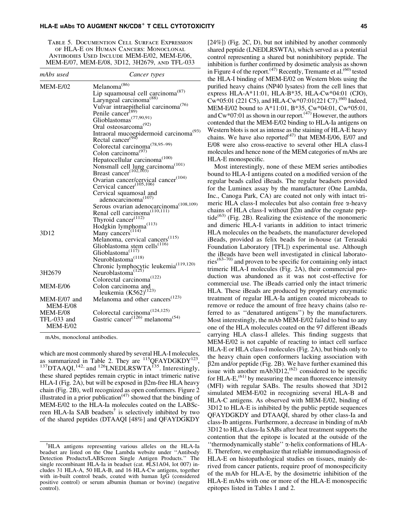#### HLA-E MAbs TO AUGMENT NK/CD8<sup>+</sup> T CELL CYTOTOXICITY And the control of the control of the control of the control of the control of the control of the control of the control of the control of the control of the control of t

Table 5. Documention Cell Surface Expression of HLA-E on Human Cancers: Monoclonal Antibodies Used Include MEM-E/02, MEM-E/06, MEM-E/07, MEM-E/08, 3D12, 3H2679, and TFL-033

| mAbs used       | Cancer types                                                                            |
|-----------------|-----------------------------------------------------------------------------------------|
| $MEM-E/02$      | Melanoma <sup>(86)</sup>                                                                |
|                 | Lip squamousal cell carcinoma <sup>(87)</sup>                                           |
|                 | Laryngeal carcinoma <sup><math>(88)</math></sup>                                        |
|                 | Vulvar intraepithelial carcinoma <sup>(76)</sup><br>Penile cancer <sup>(89)</sup>       |
|                 |                                                                                         |
|                 | Glioblastomas <sup><math>(77,90,91)</math></sup>                                        |
|                 | Oral osteosarcoma <sup>(92)</sup>                                                       |
|                 | Intraoral mucoepidermoid carcinoma <sup>(93)</sup><br>Rectal cancer <sup>(94)</sup>     |
|                 |                                                                                         |
|                 | Colorectal carcinoma <sup><math>(78,95-99)</math></sup>                                 |
|                 | Colon carcinoma <sup>(97)</sup>                                                         |
|                 | Hepatocellular carcinoma <sup>(100)</sup>                                               |
|                 |                                                                                         |
|                 | Nonsmall cell lung carcinoma <sup>(101)</sup><br>Breast cancer <sup>(102,103)</sup>     |
|                 |                                                                                         |
|                 | Ovarian cancer/cervical cancer <sup>(104)</sup><br>Cervical cancer <sup>(105,106)</sup> |
|                 | Cervical squamosal and                                                                  |
|                 | adenocarcinoma <sup>(107)</sup>                                                         |
|                 | Serous ovarian adenocarcinoma <sup>(108,109)</sup>                                      |
|                 | Renal cell carcinoma <sup><math>(110,111)</math></sup>                                  |
|                 | Thyroid cancer <sup>(112)</sup>                                                         |
|                 | Hodgkin lymphoma <sup>(113)</sup>                                                       |
| 3D12            | Many cancers <sup>(114)</sup>                                                           |
|                 | Melanoma, cervical cancers <sup>(115)</sup>                                             |
|                 | Glioblastoma stem cells <sup>(116)</sup><br>Glioblastoma <sup>(117)</sup>               |
|                 |                                                                                         |
|                 | Neuroblastoma <sup>(118)</sup>                                                          |
|                 | Chronic lymphocytic leukemia <sup>(119,120)</sup><br>Neuroblastoma <sup>(121)</sup>     |
| 3H2679          |                                                                                         |
|                 | Colorectal carcinoma <sup>(122)</sup>                                                   |
| <b>MEM-E/06</b> | Colon carcinoma and                                                                     |
|                 | leukemia $(K562)^{(123)}$                                                               |
| MEM-E/07 and    | Melanoma and other cancers <sup>(123)</sup>                                             |
| MEM-E/08        |                                                                                         |
| MEM-E/08        | Colorectal carcinoma <sup>(124,125)</sup>                                               |
| TFL-033 and     | Gastric cancer <sup>(126)</sup> melanoma <sup>(54)</sup>                                |
| MEM-E/02        |                                                                                         |

mAbs, monoclonal antibodies.

which are most commonly shared by several HLA-I molecules,<br>as summarized in Table 2. They are  $^{115}$ QFAYDGKDY<sup>123</sup>.  $\frac{137}{137}$ DTAAQI,<sup>142,</sup> and <sup>126</sup>LNEDLRSWTA<sup>135</sup>. Interestingly, these shared peptides remain cryptic in intact trimeric native HLA-I (Fig. 2A), but will be exposed in  $\beta$ 2m-free HLA heavy chain (Fig. 2B), well recognized as open conformers. Figure 2 illustrated in a prior publication<sup> $(47)$ </sup> showed that the binding of MEM-E/02 to the HLA-Ia molecules coated on the LABScreen HLA-Ia SAB beadsets<sup> $\dagger$ </sup> is selectively inhibited by two of the shared peptides (DTAAQI [48%] and QFAYDGKDY

[24%]) (Fig. 2C, D), but not inhibited by another commonly shared peptide (LNEDLRSWTA), which served as a potential control representing a shared but noninhibitory peptide. The inhibition is further confirmed by dosimetic analysis as shown in Figure 4 of the report.<sup> $(47)$ </sup> Recently, Tremante et al.<sup> $(60)$ </sup> tested the HLA-I binding of MEM-E/02 on Western blots using the purified heavy chains (NP40 lysates) from the cell lines that express HLA-A\*11:01, HLA-B\*35, HLA-Cw\*04:01 (CJO),  $Cw*05:01$  (221 C5), and HLA-Cw $*07:01(221 \text{ C}7)$ .<sup>(60)</sup> Indeed, MEM-E/02 bound to A\*11:01, B\*35, Cw\*04:01, Cw\*05:01, and  $Cw*07:01$  as shown in our report.<sup> $(47)$ </sup> However, the authors contended that the MEM-E/02 binding to HLA-Ia antigens on Western blots is not as intense as the staining of HLA-E heavy chains. We have also reported $(47)$  that MEM-E/06, E/07 and E/08 were also cross-reactive to several other HLA class-I molecules and hence none of the MEM categories of mAbs are HLA-E monospecific.

Most interestingly, none of these MEM series antibodies bound to HLA-I antigens coated on a modified version of the regular beads called iBeads. The regular beadsets provided for the Luminex assay by the manufacturer (One Lambda, Inc., Canoga Park, CA) are coated not only with intact trimeric HLA class-I molecules but also contain free  $\alpha$ -heavy chains of HLA class-I without  $\beta$ 2m and/or the cognate peptide $^{(63)}$  (Fig. 2B). Realizing the existence of the monomeric and dimeric HLA-I variants in addition to intact trimeric HLA molecules on the beadsets, the manufacturer developed iBeads, provided as felix beads for in-house (at Terasaki Foundation Laboratory [TFL]) experimental use. Although the iBeads have been well investigated in clinical laborato $ries^{(63-70)}$  and proven to be specific for containing only intact trimeric HLA-I molecules (Fig. 2A), their commercial production was abandoned as it was not cost-effective for commercial use. The iBeads carried only the intact trimeric HLA. These iBeads are produced by proprietary enzymatic treatment of regular HLA-Ia antigen coated microbeads to remove or reduce the amount of free heavy chains (also referred to as ''denatured antigens'') by the manufacturers. Most interestingly, the mAb MEM-E/02 failed to bind to any one of the HLA molecules coated on the 97 different iBeads carrying HLA class-I alleles. This finding suggests that MEM-E/02 is not capable of reacting to intact cell surface HLA-E or HLA class-I molecules (Fig. 2A), but binds only to the heavy chain open conformers lacking association with  $\beta$ 2m and/or peptide (Fig. 2B). We have further examined this issue with another  $\text{mAb3D12}$ ,<sup>(62)</sup> considered to be specific for HLA-E,<sup> $(61)$ </sup> by measuring the mean fluorescence intensity (MFI) with regular SABs. The results showed that 3D12 simulated MEM-E/02 in recognizing several HLA-B and HLA-C antigens. As observed with MEM-E/02, binding of 3D12 to HLA-E is inhibited by the public peptide sequences QFAYDGKDY and DTAAQI, shared by other class-Ia and class-Ib antigens. Furthermore, a decrease in binding of mAb 3D12 to HLA class-Ia SABs after heat treatment supports the contention that the epitope is located at the outside of the ''thermodynamically stable'' a-helix conformations of HLA-E. Therefore, we emphasize that reliable immunodiagnosis of HLA-E on histopathological studies on tissues, mainly derived from cancer patients, require proof of monospecificity of the mAb for HLA-E, by the dosimetric inhibition of the HLA-E mAbs with one or more of the HLA-E monospecific epitopes listed in Tables 1 and 2.

<sup>&</sup>lt;sup>†</sup>HLA antigens representing various alleles on the HLA-Ia beadset are listed on the One Lambda website under ''Antibody Detection Products/LABScreen Single Antigen Products.'' The single recombinant HLA-Ia in beadset (cat. #LS1A04, lot 007) includes 31 HLA-A, 50 HLA-B, and 16 HLA-Cw antigens, together with in-built control beads, coated with human IgG (considered positive control) or serum albumin (human or bovine) (negative control).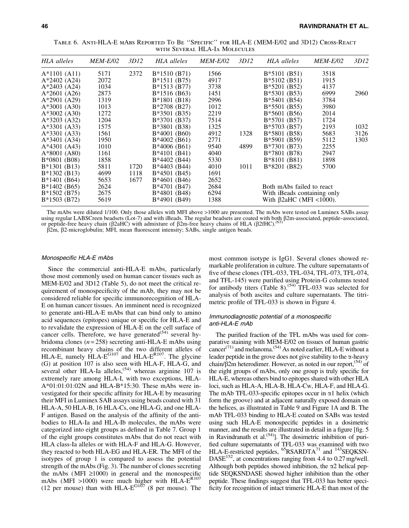| HLA alleles    | <b>MEM-E/02</b> | 3D12 | HLA alleles    | <i>MEM-E/02</i> | 3D12 | HLA alleles                    | <i>MEM-E/02</i> | 3D12 |
|----------------|-----------------|------|----------------|-----------------|------|--------------------------------|-----------------|------|
| $A*1101 (A11)$ | 5171            | 2372 | $B*1510(B71)$  | 1566            |      | $B*5101(B51)$                  | 3518            |      |
| $A*2402$ (A24) | 2072            |      | $B*1511(B75)$  | 4917            |      | $B*5102(B51)$                  | 1915            |      |
| $A*2403$ (A24) | 1034            |      | $B*1513(B77)$  | 3738            |      | $B*5201(B52)$                  | 4137            |      |
| $A*2601$ (A26) | 2873            |      | $B*1516(B63)$  | 1451            |      | $B*5301(B53)$                  | 6999            | 2960 |
| $A*2901$ (A29) | 1319            |      | $B*1801(B18)$  | 2996            |      | $B*5401$ (B54)                 | 3784            |      |
| $A*3001$ (A30) | 1013            |      | $B*2708(B27)$  | 1012            |      | $B*5501(B55)$                  | 3980            |      |
| $A*3002$ (A30) | 1272            |      | $B*3501(B35)$  | 2219            |      | $B*5601(B56)$                  | 2014            |      |
| $A*3203$ (A32) | 1204            |      | B*3701 (B37)   | 7514            |      | B*5701 (B57)                   | 1724            |      |
| $A*3301 (A33)$ | 1575            |      | B*3801 (B38)   | 1325            |      | $B*5703(B57)$                  | 2193            | 1032 |
| $A*3301 (A33)$ | 1561            |      | $B*4001$ (B60) | 4912            | 1328 | B*5801 (B58)                   | 5683            | 3126 |
| $A*3401$ (A34) | 1950            |      | $B*4002(B61)$  | 2771            |      | B*5901 (B59)                   | 5112            | 1303 |
| $A*4301 (A43)$ | 1010            |      | $B*4006(B61)$  | 9540            | 4899 | B*7301 (B73)                   | 2255            |      |
| $A*8001$ (A80) | 1161            |      | $B*4101(B41)$  | 4040            |      | B*7801 (B78)                   | 2947            |      |
| B*0801 (B08)   | 1858            |      | B*4402 (B44)   | 5330            |      | B*8101 (B81)                   | 1898            |      |
| $B*1301(B13)$  | 5811            | 1720 | B*4403 (B44)   | 4010            | 1011 | B*8201 (B82)                   | 5700            |      |
| $B*1302(B13)$  | 4699            | 1118 | $B*4501(B45)$  | 1691            |      |                                |                 |      |
| $B*1401(B64)$  | 5653            | 1677 | $B*4601$ (B46) | 2652            |      |                                |                 |      |
| $B*1402(B65)$  | 2624            |      | B*4701 (B47)   | 2684            |      | Both mAbs failed to react      |                 |      |
| B*1502 (B75)   | 2675            |      | B*4801 (B48)   | 6294            |      | With iBeads containing only    |                 |      |
| $B*1503(B72)$  | 5619            |      | B*4901 (B49)   | 1388            |      | With $\beta$ 2aHC (MFI <1000). |                 |      |
|                |                 |      |                |                 |      |                                |                 |      |

Table 6. Anti-HLA-E mAbs Reported To Be ''Specific'' for HLA-E (MEM-E/02 and 3D12) Cross-React with Several HLA-Ia Molecules

The mAbs were diluted 1/100. Only those alleles with MFI above >1000 are presented. The mAbs were tested on Luminex SABs assay using regular LABSCreen beadsets (Lot-7) and with iBeads. The regular beadsets are coated with both β2m-associated, peptide–associated, <br>or peptide-free heavy chain (β2aHC) with admixture of β2m-free heavy chains of HLA (

 $\beta$ 2m,  $\beta$ 2-microglobulin; MFI, mean fluorescent intensity; SABs, single antigen beads.

#### Monospecific HLA-E mAbs

Since the commercial anti-HLA-E mAbs, particularly those most commonly used on human cancer tissues such as MEM-E/02 and 3D12 (Table 5), do not meet the critical requirement of monospecificity of the mAb, they may not be considered reliable for specific immunorecognition of HLA-E on human cancer tissues. An imminent need is recognized to generate anti-HLA-E mAbs that can bind only to amino acid sequences (epitopes) unique or specific for HLA-E and to revalidate the expression of HLA-E on the cell surface of cancer cells. Therefore, we have generated<sup> $(54)$ </sup> several hybridoma clones (*n* = 258) secreting anti-HLA-E mAbs using recombinant heavy chains of the two different alleles of HLA-E, namely  $HLA-E^{G107}$  and HLA- $E^{R107}$ . The glycine (G) at position 107 is also seen with HLA-F, HLA-G, and several other HLA-Ia alleles,  $(54)$  whereas arginine 107 is extremely rare among HLA-I, with two exceptions, HLA-A\*01:01:01:02N and HLA-B\*15:30. These mAbs were investigated for their specific affinity for HLA-E by measuring their MFI in Luminex SAB assays using beads coated with 31 HLA-A, 50 HLA-B, 16 HLA-Cs, one HLA-G, and one HLA-F antigen. Based on the analysis of the affinity of the antibodies to HLA-Ia and HLA-Ib molecules, the mAbs were categorized into eight groups as defined in Table 7. Group 1 of the eight groups constitutes mAbs that do not react with HLA class-Ia alleles or with HLA-F and HLA-G. However, they reacted to both HLA-EG and HLA-ER. The MFI of the isotypes of group 1 is compared to assess the potential strength of the mAbs (Fig. 3). The number of clones secreting the mAbs (MFI  $\geq$ 1000) in general and the monospecific mAbs (MFI >1000) were much higher with  $HLA-E^{R107}$ (12 per mouse) than with  $HLA-E^{GI\tilde{O7}}$  (8 per mouse). The most common isotype is IgG1. Several clones showed remarkable proliferation in culture. The culture supernatants of five of these clones (TFL-033, TFL-034, TFL-073, TFL-074, and TFL-145) were purified using Protein-G columns tested for antibody titers  $(Table 8)$ .<sup> $(54)$ </sup> TFL-033 was selected for analysis of both ascites and culture supernatants. The titrimetric profile of TFL-033 is shown in Figure 4.

#### Immunodiagnostic potential of a monospecific anti-HLA-E mAb

The purified fraction of the TFL mAbs was used for comparative staining with MEM-E/02 on tissues of human gastric cancer<sup>(71)</sup> and melanoma.<sup> $(54)$ </sup> As noted earlier, HLA-E without a leader peptide in the grove does not give stability to the  $\alpha$ -heavy chain/ $\beta$ 2m heterodimer. However, as noted in our report,<sup>(54)</sup> of the eight groups of mAbs, only one group is truly specific for HLA-E, whereas others bind to epitopes shared with other HLA loci, such as HLA-A, HLA-B, HLA-Cw, HLA-F, and HLA-G. The mAb TFL-033-specific epitopes occur in  $\alpha$ 1 helix (which form the groove) and at adjacent naturally exposed domain on the helices, as illustrated in Table 9 and Figure 1A and B. The mAb TFL-033 binding to HLA-E coated on SABs was tested using such HLA-E monospecific peptides in a dosimetric manner, and the results are illustrated in detail in a figure [fig. 5 in Ravindranath et al.<sup> $(54)$ </sup>]. The dosimetric inhibition of purified culture supernatants of TFL-033 was examined with two HLA-E-restricted peptides, <sup>65</sup>RSARDTA<sup>71</sup> and <sup>143</sup>SEQKSN-DASE<sup>152</sup>, at concentrations ranging from 4.4 to 0.27 mg/well. Although both peptides showed inhibition, the  $\alpha$ 2 helical peptide SEQKSNDASE showed higher inhibition than the other peptide. These findings suggest that TFL-033 has better specificity for recognition of intact trimeric HLA-E than most of the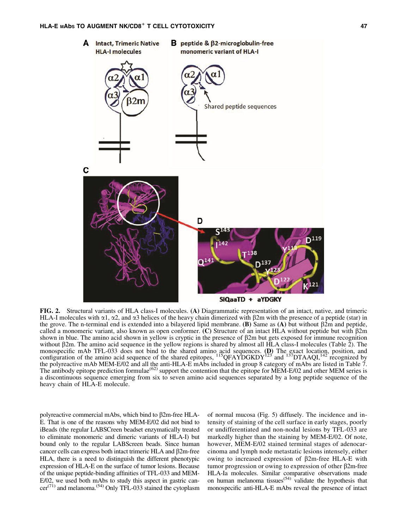

FIG. 2. Structural variants of HLA class-I molecules. (A) Diagrammatic representation of an intact, native, and trimeric HLA-I molecules with  $\alpha$ 1,  $\alpha$ 2, and  $\alpha$ 3 helices of the heavy chain dimerized with  $\beta$ 2m with the presence of a peptide (star) in the grove. The n-terminal end is extended into a bilayered lipid membrane. (B) Same as (A) but without  $\beta$ 2m and peptide, called a monomeric variant, also known as open conformer. (C) Structure of an intact HLA without peptide but with b2m shown in blue. The amino acid shown in yellow is cryptic in the presence of  $\beta$ 2m but gets exposed for immune recognition without  $\beta$ 2m. The amino acid sequence in the yellow regions is shared by almost all HLA class-I molecules (Table 2). The monospecific mAb TFL-033 does not bind to the shared amino acid sequences. (D) The exact location, position, and<br>configuration of the amino acid sequence of the shared epitopes, <sup>115</sup>QFAYDGKDY<sup>123</sup> and <sup>137</sup>DTAAQI,<sup>142</sup> re the polyreactive mAb MEM-E/02 and all the anti-HLA-E mAbs included in group 8 category of mAbs are listed in Table 7. The antibody epitope prediction formulae<sup>(62)</sup> support the contention that the epitope for MEM-E/02 and other MEM series is a discontinuous sequence emerging from six to seven amino acid sequences separated by a long peptide sequence of the heavy chain of HLA-E molecule.

polyreactive commercial mAbs, which bind to  $\beta$ 2m-free HLA-E. That is one of the reasons why MEM-E/02 did not bind to iBeads (the regular LABSCreen beadset enzymatically treated to eliminate monomeric and dimeric variants of HLA-I) but bound only to the regular LABScreen beads. Since human cancer cells can express both intact trimeric HLA and  $\beta$ 2m-free HLA, there is a need to distinguish the different phenotypic expression of HLA-E on the surface of tumor lesions. Because of the unique peptide-binding affinities of TFL-033 and MEM-E/02, we used both mAbs to study this aspect in gastric can $c$ er<sup>(71)</sup> and melanoma.<sup>(54)</sup> Only TFL-033 stained the cytoplasm of normal mucosa (Fig. 5) diffusely. The incidence and intensity of staining of the cell surface in early stages, poorly or undifferentiated and non-nodal lesions by TFL-033 are markedly higher than the staining by MEM-E/02. Of note, however, MEM-E/02 stained terminal stages of adenocarcinoma and lymph node metastatic lesions intensely, either owing to increased expression of  $\beta$ 2m-free HLA-E with tumor progression or owing to expression of other  $\beta$ 2m-free HLA-Ia molecules. Similar comparative observations made on human melanoma tissues<sup> $(54)$ </sup> validate the hypothesis that monospecific anti-HLA-E mAbs reveal the presence of intact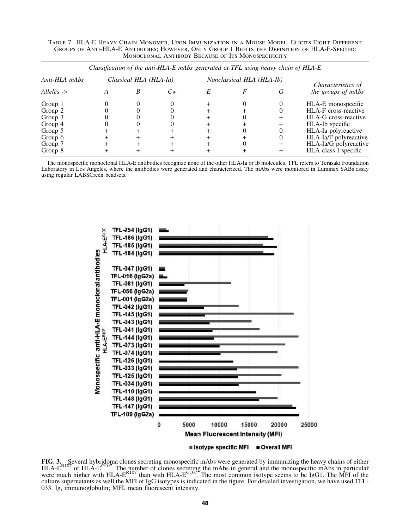Table 7. HLA-E Heavy Chain Monomer, Upon Immunization in a Mouse Model, Elicits Eight Different Groups of Anti-HLA-E Antibodies; However, Only Group 1 Befits the Definition of HLA-E-Specific Monoclonal Antibody Because of Its Monospecificity

| Anti-HLA mAbs         | Classical HLA (HLA-Ia) |         |   | Nonclassical HLA (HLA-Ib) |   |                                          |  |
|-----------------------|------------------------|---------|---|---------------------------|---|------------------------------------------|--|
| Alleles $\rightarrow$ |                        | $C_{W}$ | E |                           | G | Characteristics of<br>the groups of mAbs |  |
| Group 1               |                        |         |   |                           |   | HLA-E monospecific                       |  |
| Group 2               |                        |         |   |                           |   | HLA-F cross-reactive                     |  |
| Group 3               |                        |         |   |                           |   | HLA-G cross-reactive                     |  |
| Group 4               |                        |         |   |                           |   | HLA-Ib specific                          |  |
| Group 5               |                        |         |   |                           |   | HLA-Ia polyreactive                      |  |
| Group 6               |                        |         |   |                           |   | HLA-Ia/F polyreactive                    |  |
| Group 7               |                        |         |   |                           |   | HLA-Ia/G polyreactive                    |  |
| Group 8               |                        |         |   |                           |   | HLA class-I specific                     |  |

The monospecific monoclonal HLA-E antibodies recognize none of the other HLA-Ia or Ib molecules. TFL refers to Terasaki Foundation Laboratory in Los Angeles, where the antibodies were generated and characterized. The mAbs were monitored in Luminex SABs assay using regular LABSCreen beadsets.



FIG. 3. Several hybridoma clones secreting monospecific mAbs were generated by immunizing the heavy chains of either HLA-E<sup>G107</sup> or HLA-E<sup>G107</sup>. The number of clones secreting the mAbs in general and the monospecific mAbs were much higher with HLA- $E^{R107}$  than with HLA- $E^{G107}$ . The most common isotype seems to be IgG1. The MFI of the culture supernatants as well the MFI of IgG isotypes is indicated in the figure. For detailed investigation, we have used TFL-033. Ig, immunoglobulin; MFI, mean fluorescent intensity.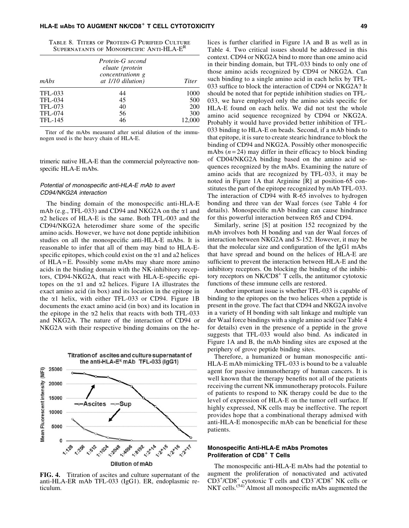|  | TABLE 8. TITERS OF PROTEIN-G PURIFIED CULTURE        |  |
|--|------------------------------------------------------|--|
|  | SUPERNATANTS OF MONOSPECIFIC ANTI-HLA-E <sup>R</sup> |  |

| mAbs           | Protein-G second<br>eluate (protein<br>concentrationn g<br>at $1/10$ dilution) | Titer  |
|----------------|--------------------------------------------------------------------------------|--------|
| TFL-033        | 44                                                                             | 1000   |
| <b>TFL-034</b> | 45                                                                             | 500    |
| TFL-073        | 40                                                                             | 200    |
| TFL-074        | 56                                                                             | 300    |
| <b>TFL-145</b> | 46                                                                             | 12.000 |

Titer of the mAbs measured after serial dilution of the immunogen used is the heavy chain of HLA-E.

trimeric native HLA-E than the commercial polyreactive nonspecific HLA-E mAbs.

#### Potential of monospecific anti-HLA-E mAb to avert CD94/NKG2A interaction

The binding domain of the monospecific anti-HLA-E mAb (e.g., TFL-033) and CD94 and NKG2A on the  $\alpha$ 1 and  $\alpha$ 2 helices of HLA-E is the same. Both TFL-003 and the CD94/NKG2A heterodimer share some of the specific amino acids. However, we have not done peptide inhibition studies on all the monospecific anti-HLA-E mAbs. It is reasonable to infer that all of them may bind to HLA-Especific epitopes, which could exist on the  $\alpha$ 1 and a2 helices of  $HLA = E$ . Possibly some mAbs may share more amino acids in the binding domain with the NK-inhibitory receptors, CD94-NKG2A, that react with HLA-E-specific epitopes on the  $\alpha$ 1 and  $\alpha$ 2 helices. Figure 1A illustrates the exact amino acid (in box) and its location in the epitope in the  $\alpha$ 1 helix, with either TFL-033 or CD94. Figure 1B documents the exact amino acid (in box) and its location in the epitope in the  $\alpha$ 2 helix that reacts with both TFL-033 and NKG2A. The nature of the interaction of CD94 or NKG2A with their respective binding domains on the he-



FIG. 4. Titration of ascites and culture supernatant of the anti-HLA-ER mAb TFL-033 (IgG1). ER, endoplasmic reticulum.

lices is further clarified in Figure 1A and B as well as in Table 4. Two critical issues should be addressed in this context. CD94 or NKG2A bind to more than one amino acid in their binding domain, but TFL-033 binds to only one of those amino acids recognized by CD94 or NKG2A. Can such binding to a single amino acid in each helix by TFL-033 suffice to block the interaction of CD94 or NKG2A? It should be noted that for peptide inhibition studies on TFL-033, we have employed only the amino acids specific for HLA-E found on each helix. We did not test the whole amino acid sequence recognized by CD94 or NKG2A. Probably it would have provided better inhibition of TFL-033 binding to HLA-E on beads. Second, if a mAb binds to that epitope, it is sure to create stearic hindrance to block the binding of CD94 and NKG2A. Possibly other monospecific mAbs  $(n=24)$  may differ in their efficacy to block binding of CD04/NKG2A binding based on the amino acid sequences recognized by the mAbs. Examining the nature of amino acids that are recognized by TFL-033, it may be noted in Figure 1A that Arginine [R] at position-65 constitutes the part of the epitope recognized by mAb TFL-033. The interaction of CD94 with R-65 involves to hydrogen bonding and three van der Waal forces (see Table 4 for details). Monospecific mAb binding can cause hindrance for this powerful interaction between R65 and CD94.

Similarly, serine [S] at position 152 recognized by the mAb involves both H bonding and van der Waal forces of interaction between NKG2A and S-152. However, it may be that the molecular size and configuration of the IgG1 mAbs that have spread and bound on the helices of HLA-E are sufficient to prevent the interaction between HLA-E and the inhibitory receptors. On blocking the binding of the inhibitory receptors on  $NK/CD8$ <sup>+</sup> T cells, the antitumor cytotoxic functions of these immune cells are restored.

Another important issue is whether TFL-033 is capable of binding to the epitopes on the two helices when a peptide is present in the grove. The fact that CD94 and NKG2A involve in a variety of H bonding with salt linkage and multiple van der Waal force bindings with a single amino acid (see Table 4 for details) even in the presence of a peptide in the grove suggests that TFL-033 would also bind. As indicated in Figure 1A and B, the mAb binding sites are exposed at the periphery of grove peptide binding sites.

Therefore, a humanized or human monospecific anti-HLA-E mAb mimicking TFL-033 is bound to be a valuable agent for passive immunotherapy of human cancers. It is well known that the therapy benefits not all of the patients receiving the current NK immunotherapy protocols. Failure of patients to respond to NK therapy could be due to the level of expression of HLA-E on the tumor cell surface. If highly expressed, NK cells may be ineffective. The report provides hope that a combinational therapy admixed with anti-HLA-E monospecific mAb can be beneficial for these patients.

#### Monospecific Anti-HLA-E mAbs Promotes Proliferation of CD8<sup>+</sup> T Cells

The monospecific anti-HLA-E mAbs had the potential to augment the proliferation of nonactivated and activated CD3<sup>+</sup>/CD8<sup>+</sup> cytotoxic T cells and CD3<sup>-</sup>/CD8<sup>+</sup> NK cells or NKT cells.<sup>(54)</sup> Almost all monospecific mAbs augmented the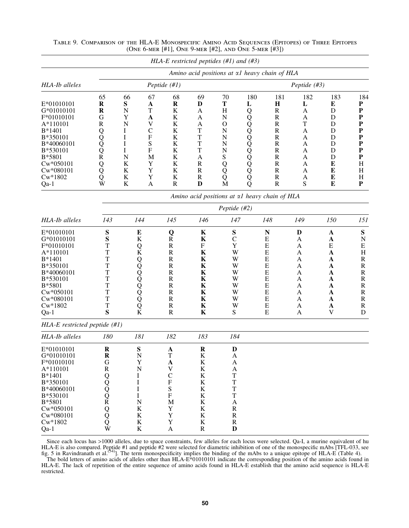|                                   |                                     |                                           |              | HLA-E restricted peptides $(\#1)$ and $(\#3)$ |                   |                       |              |                                               |                |             |                           |  |
|-----------------------------------|-------------------------------------|-------------------------------------------|--------------|-----------------------------------------------|-------------------|-----------------------|--------------|-----------------------------------------------|----------------|-------------|---------------------------|--|
|                                   |                                     |                                           |              |                                               |                   |                       |              | Amino acid positions at al heavy chain of HLA |                |             |                           |  |
| HLA-Ib alleles                    |                                     |                                           |              | Peptide (#1)                                  |                   |                       | Peptide (#3) |                                               |                |             |                           |  |
|                                   | 65                                  | 66                                        | 67           | 68                                            | 69                | 70                    | 180          | 181                                           | 182            | 183         | 184                       |  |
| E*01010101                        | $\bf R$                             | ${\bf S}$                                 | A            | $\bf R$                                       | D                 | T                     | L            | $\mathbf H$                                   | L              | E           | ${\bf P}$                 |  |
| G*01010101                        | $\bf R$                             | N                                         | T            | K                                             | A                 | H                     | 00000000000  | $\mathbb{R}$                                  | A              | D           | ${\bf P}$                 |  |
| F*01010101                        | G                                   | Y                                         | $\mathbf A$  | K                                             | A                 | $\mathbf N$           |              | $\mathbb{R}$                                  | A              | D           | ${\bf P}$                 |  |
| A*110101                          | ${\bf R}$                           | N                                         | V            | K                                             | A                 | $\mathbf{O}$          |              | $\mathbf R$                                   | T              | D           | $\mathbf{P}$              |  |
| B*1401                            | Q                                   | I                                         | $\mathsf{C}$ | K                                             | T                 | $\mathbf N$           |              | $\mathbf R$                                   | A              | D           | ${\bf P}$                 |  |
| B*350101                          |                                     | I                                         | ${\bf F}$    | K                                             | T                 | $\mathbf N$           |              | $\mathbb{R}$                                  | A              | D           | ${\bf P}$                 |  |
| B*40060101                        | $\frac{\overline{Q}}{\overline{Q}}$ | I                                         | S            | K                                             | T                 | $\mathbf N$           |              | ${\bf R}$                                     | A              | D           | ${\bf P}$                 |  |
| B*530101                          |                                     | I                                         | ${\bf F}$    | $\bf K$                                       | T                 | $\mathbf N$           |              | $\mathbf R$                                   | A              | D           | ${\bf P}$                 |  |
| B*5801                            | $\overline{R}$                      | $\mathbf N$                               | M            | K                                             | $\boldsymbol{A}$  | ${\bf S}$             |              | ${\bf R}$                                     | A              | D           | ${\bf P}$                 |  |
| Cw*050101                         | Q<br>Q                              | $\bf K$                                   | Y            | K                                             | $\mathbb{R}$      | Q                     |              | ${\bf R}$                                     | A              | E           | H                         |  |
| Cw*080101                         |                                     | $\bf K$                                   | Y            | K                                             | $\mathbf R$       | Q                     |              | $\mathbf R$                                   | A              | E           | H                         |  |
| $Cw*1802$                         | Q<br>W                              | ${\bf K}$<br>$\rm K$                      | $\mathbf Y$  | K<br>${\bf R}$                                | $\mathbb{R}$<br>D | Q<br>$\mathbf{M}$     |              | $\mathbb{R}$<br>$\mathbf R$                   | A<br>${\bf S}$ | E<br>E      | H<br>${\bf P}$            |  |
| Qa-1                              |                                     |                                           | A            |                                               |                   |                       | Q            |                                               |                |             |                           |  |
|                                   |                                     |                                           |              |                                               |                   |                       |              | Amino acid positions at al heavy chain of HLA |                |             |                           |  |
|                                   |                                     |                                           |              |                                               |                   | Peptide (#2)          |              |                                               |                |             |                           |  |
| HLA-Ib alleles                    | 143                                 | 144                                       |              | 145                                           | 146               | 147                   |              | 148                                           | 149            | 150         | 151                       |  |
| E*01010101                        | S                                   | E                                         |              | Q                                             | K                 | S                     |              | $\mathbf N$                                   | D              | A           | ${\bf S}$                 |  |
| G*01010101                        | S                                   | K                                         |              | $\mathbf R$                                   | $\bf K$           | $\mathbf C$           |              | E                                             | A              | A           | $\mathbf N$               |  |
| F*01010101                        | T                                   | $\operatorname*{Q}\nolimits_{\mathbf{K}}$ |              | $\mathbf R$                                   | F                 | Y                     |              | ${\bf E}$                                     | A              | ${\bf E}$   | E                         |  |
| A*110101                          | T                                   |                                           |              | $\mathbf R$                                   | K                 | W                     |              | ${\bf E}$                                     | A              | $\mathbf A$ | $\boldsymbol{\mathrm{H}}$ |  |
| $B*1401$                          | T                                   |                                           |              | $\mathbf R$                                   | K                 | W                     |              | E                                             | A              | A           | $\mathbf R$               |  |
| B*350101                          | T                                   |                                           |              | $\mathbf R$                                   | $\mathbf K$       | W                     |              | ${\bf E}$                                     | A              | A           | ${\bf R}$                 |  |
| B*40060101                        | T                                   |                                           |              | $\mathbf R$                                   | K                 | W                     |              | ${\bf E}$                                     | A              | A           | ${\bf R}$                 |  |
| B*530101                          | T                                   |                                           |              | $\mathbf R$                                   | K                 | W                     |              | E                                             | A              | A           | $\mathbf R$               |  |
| B*5801                            | T                                   |                                           |              | $\mathbf R$                                   | K                 | W                     |              | ${\bf E}$                                     | A              | A           | ${\bf R}$                 |  |
| Cw*050101                         | T                                   |                                           |              | $\mathbf R$                                   | K                 | W                     |              | ${\bf E}$                                     | A              | A           | ${\bf R}$                 |  |
| Cw*080101                         | T                                   |                                           |              | $\mathbf R$                                   | K                 | W                     |              | E                                             | A              | A           | $\mathbf R$               |  |
| $Cw*1802$                         | T                                   | KOOOOOOOO                                 |              | $\mathbf R$                                   | K                 | W                     |              | E                                             | A              | A           | $\mathbf R$               |  |
| Qa-1                              | S                                   |                                           |              | $\mathbf R$                                   | $\mathbf K$       | ${\bf S}$             |              | ${\bf E}$                                     | A              | $\mathbf V$ | ${\bf D}$                 |  |
| $HLA-E$ restricted peptide $(#I)$ |                                     |                                           |              |                                               |                   |                       |              |                                               |                |             |                           |  |
| HLA-Ib alleles                    | 180                                 | 181                                       |              | 182                                           | 183               | 184                   |              |                                               |                |             |                           |  |
| E*01010101                        | $\bf R$                             | S                                         |              | ${\bf A}$                                     | $\mathbf R$       | $\mathbf D$           |              |                                               |                |             |                           |  |
| G*01010101                        | $\bf R$                             | N                                         |              | T                                             | K                 | A                     |              |                                               |                |             |                           |  |
| F*01010101                        | ${\bf G}$                           | Y                                         |              | $\mathbf A$                                   | $\bf K$           | $\boldsymbol{\rm{A}}$ |              |                                               |                |             |                           |  |
| A*110101                          | ${\bf R}$                           | $\overline{\rm N}$                        |              | V                                             | $\bf K$           | $\mathbf{A}$          |              |                                               |                |             |                           |  |
| B*1401                            |                                     | I                                         |              | $\mathsf{C}$                                  | $\bf K$           | $\mathbf T$           |              |                                               |                |             |                           |  |
| B*350101                          |                                     | I                                         |              | ${\bf F}$                                     | $\bf K$           | T                     |              |                                               |                |             |                           |  |
| B*40060101                        |                                     | I                                         |              | ${\bf S}$                                     | $\bf K$           | $\mathbf T$           |              |                                               |                |             |                           |  |
| B*530101                          |                                     | I                                         |              | $\boldsymbol{\mathrm{F}}$                     | $\bf K$           | T                     |              |                                               |                |             |                           |  |
| B*5801                            |                                     | N                                         |              | M                                             | $\bf K$           | A                     |              |                                               |                |             |                           |  |
| Cw*050101                         |                                     | ${\bf K}$                                 |              | Y                                             | $\bf K$           | ${\bf R}$             |              |                                               |                |             |                           |  |
| Cw*080101                         |                                     | ${\bf K}$                                 |              | $\mathbf Y$                                   | $\bf K$           | ${\bf R}$             |              |                                               |                |             |                           |  |
| $Cw*1802$                         | ZOOROOOO                            | $\bf K$                                   |              | $\mathbf Y$                                   | ${\bf K}$         | ${\bf R}$             |              |                                               |                |             |                           |  |
| $Qa-1$                            |                                     | $\bf K$                                   |              | $\boldsymbol{\rm{A}}$                         | ${\bf R}$         | $\mathbf D$           |              |                                               |                |             |                           |  |

| TABLE 9. COMPARISON OF THE HLA-E MONOSPECIFIC AMINO ACID SEQUENCES (EPITOPES) OF THREE EPITOPES |  |  |
|-------------------------------------------------------------------------------------------------|--|--|
| (ONE 6-MER [#1], ONE 9-MER [#2], AND ONE 5-MER [#3])                                            |  |  |

Since each locus has >1000 alleles, due to space constraints, few alleles for each locus were selected. Qa-I, a murine equivalent of hu HLA-E is also compared. Peptide #1 and peptide #2 were selected for diametric inhibition of one of the monospecific mAbs [TFL-033, see<br>fig. 5 in Ravindranath et al.<sup>(54)</sup>]. The term monospecificity implies the binding of t

The bold letters of amino acids of alleles other than HLA-E\*01010101 indicate the corresponding position of the amino acids found in HLA-E. The lack of repetition of the entire sequence of amino acids found in HLA-E establish that the amino acid sequence is HLA-E restricted.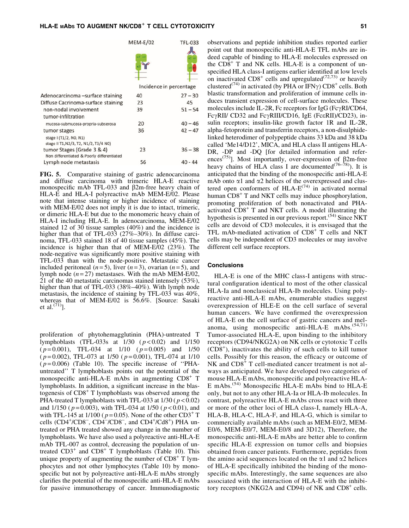|                                                                                 | <b>MEM-E/02</b> | <b>TFL-033</b>          |
|---------------------------------------------------------------------------------|-----------------|-------------------------|
|                                                                                 | $\alpha$ 2 al   |                         |
|                                                                                 |                 |                         |
|                                                                                 |                 | Incidence in percentage |
| Adenocarcinoma-surface staining                                                 | 40              | $27 - 30$               |
| Diffuse Cacrinoma-surface staining                                              | 23              | 45                      |
| non-nodal involvement                                                           | 39              | $51 - 54$               |
| tumor-infiltration                                                              |                 |                         |
| mucosa-submucosa-propria-subserosa                                              | 20              | $40 - 46$               |
| tumor stages<br>stage I (T1/2, N0, N1)<br>stage II T1, N2/3, T2, N1/2, T3/4 N0) | 36              | $42 - 47$               |
| tumor Stages (Grade 3 & 4)<br>Non differentiated & Poorly differentiated        | 23              | $36 - 38$               |
| Lymph node metastasis                                                           | 56              | $40 - 44$               |

FIG. 5. Comparative staining of gastric adenocarcinoma and diffuse carcinoma with trimeric HLA-E reactive monospecific mAb TFL-033 and  $\beta$ 2m-free heavy chain of HLA-E and HLA-I polyreactive mAb MEM-E/02. Please note that intense staining or higher incidence of staining with MEM-E/02 does not imply it is due to intact, trimeric, or dimeric HLA-E but due to the monomeric heavy chain of HLA-I including HLA-E. In adenocarcinoma, MEM-E/02 stained 12 of 30 tissue samples (40%) and the incidence is higher than that of TFL-033 (27%–30%). In diffuse carcinoma, TFL-033 stained 18 of 40 tissue samples (45%). The incidence is higher than that of MEM-E/02 (23%). The node-negative was significantly more positive staining with TFL-033 than with the node-positive. Metastatic cancer included peritoneal  $(n=5)$ , liver  $(n=3)$ , ovarian  $(n=5)$ , and lymph node  $(n=27)$  metastases. With the mAb MEM-E/02, 21 of the 40 metastatic carcinomas stained intensely (53%), higher than that of TFL-033 (38%–40%). With lymph node metastasis, the incidence of staining by TFL-033 was 40%, whereas that of MEM-E/02 is 56.6%. [Source: Sasaki et al. $^{(71)}$ ].

proliferation of phytohemagglutinin (PHA)-untreated T lymphoblasts (TFL-033s at 1/30 ( *p* < 0.02) and 1/150 ( *p* = 0.001), TFL-034 at 1/10 ( *p* = 0.005) and 1/50 ( *p* = 0.002), TFL-073 at 1/50 ( *p* = 0.001), TFL-074 at 1/10  $(p=0.006)$  (Table 10). The specific increase of "PHAuntreated'' T lymphoblasts points out the potential of the monospecific anti-HLA-E mAbs in augmenting  $CD8<sup>+</sup>$  T lymphoblasts. In addition, a significant increase in the blastogenesis of  $CD8<sup>+</sup>$  T lymphoblasts was observed among the PHA-treated T lymphoblasts with TFL-033 at 1/30 ( *p* < 0.02) and 1/150 ( *p* = 0.003), with TFL-034 at 1/50 ( *p* < 0.01), and with TFL-145 at  $1/100$  ( $p = 0.05$ ). None of the other CD3<sup>+</sup> T cells  $(CD4^+/CD8^-$ ,  $CD4^-/CD8^-$ , and  $CD4^+/Cd8^+$ ) PHA untreated or PHA treated showed any change in the number of lymphoblasts. We have also used a polyreactive anti-HLA-E mAb TFL-007 as control, decreasing the population of untreated  $CD3^+$  and  $CD8^+$  T lymphoblasts (Table 10). This unique property of augmenting the number of  $CD8<sup>+</sup>$  T lymphocytes and not other lymphocytes (Table 10) by monospecific but not by polyreactive anti-HLA-E mAbs strongly clarifies the potential of the monospecific anti-HLA-E mAbs for passive immunotherapy of cancer. Immunodiagnostic

observations and peptide inhibition studies reported earlier point out that monospecific anti-HLA-E TFL mAbs are indeed capable of binding to HLA-E molecules expressed on the  $CD8<sup>+</sup>$  T and NK cells. HLA-E is a component of unspecified HLA class-I antigens earlier identified at low levels on inactivated  $CD8^+$  cells and upregulated<sup> $(72,73)$ </sup> or heavily clustered<sup>(74)</sup> in activated (by PHA or IFN $\gamma$ ) CD8<sup>+</sup> cells. Both blastic transformation and proliferation of immune cells induces transient expression of cell-surface molecules. These molecules include IL-2R, Fc receptors for  $IgG$  (Fc $\gamma$ RI/CD64, Fc $\gamma$ RII/ CD32 and Fc $\gamma$ RIII/CD16, IgE (Fc $\epsilon$ RII)/CD23), insulin receptors; insulin-like growth factor 1R and IL-2R, alpha-fetoprotein and transferrin receptors, a non-disulphidelinked heterodimer of polypeptide chains 33 kDa and 38 kDa called 'Me14/D12', MICA, and HLA class II antigens HLA-DR, -DP and -DQ [for detailed information and references<sup>(75)</sup>]. Most importantly, over-expression of  $\beta$ 2m-free heavy chains of HLA class I are documented<sup>(76–78)</sup>). It is anticipated that the binding of the monospecific anti-HLA-E mAb onto  $\alpha$ 1 and  $\alpha$ 2 helices of the overexpressed and clustered open conformers of HLA- $E^{(74)}$  in activated normal human CD8<sup>+</sup> T and NKT cells may induce phosphorylation, promoting proliferation of both nonactivated and PHAactivated CD8<sup>+</sup> T and NKT cells. A model illustrating the hypothesis is presented in our previous report.<sup> $(54)$ </sup> Since NKT cells are devoid of CD3 molecules, it is envisaged that the TFL mAb-mediated activation of  $CD8<sup>+</sup>$  T cells and NKT cells may be independent of CD3 molecules or may involve different cell surface receptors.

#### **Conclusions**

HLA-E is one of the MHC class-I antigens with structural configuration identical to most of the other classical HLA-Ia and nonclassical HLA-Ib molecules. Using polyreactive anti-HLA-E mAbs, enumerable studies suggest overexpression of HLE-E on the cell surface of several human cancers. We have confirmed the overexpression of HLA-E on the cell surface of gastric cancers and melanoma, using monospecific anti-HLA-E mAbs.<sup>(54,71)</sup> Tumor-associated HLA-E, upon binding to the inhibitory receptors (CD94/NKG2A) on NK cells or cytotoxic T cells  $(CD8<sup>+</sup>)$ , inactivates the ability of such cells to kill tumor cells. Possibly for this reason, the efficacy or outcome of NK and CD8<sup>+</sup> T cell-mediated cancer treatment is not always as anticipated. We have developed two categories of mouse HLA-E mAbs, monospecific and polyreactive HLA-E mAbs.(54) Monospecific HLA-E mAbs bind to HLA-E only, but not to any other HLA-Ia or HLA-Ib molecules. In contrast, polyreactive HLA-E mAbs cross react with three or more of the other loci of HLA class-I, namely HLA-A, HLA-B, HLA-C, HLA-F, and HLA-G, which is similar to commercially available mAbs (such as MEM-E0/2, MEM-E0/6, MEM-E0/7, MEM-E0/8 and 3D12), Therefore, the monospecific anti-HLA-E mAbs are better able to confirm specific HLA-E expression on tumor cells and biopsies obtained from cancer patients. Furthermore, peptides from the amino acid sequences located on the  $\alpha$ 1 and  $\alpha$ 2 helices of HLA-E specifically inhibited the binding of the monospecific mAbs. Interestingly, the same sequences are also associated with the interaction of HLA-E with the inhibitory receptors (NKG2A and CD94) of NK and  $CD8<sup>+</sup>$  cells.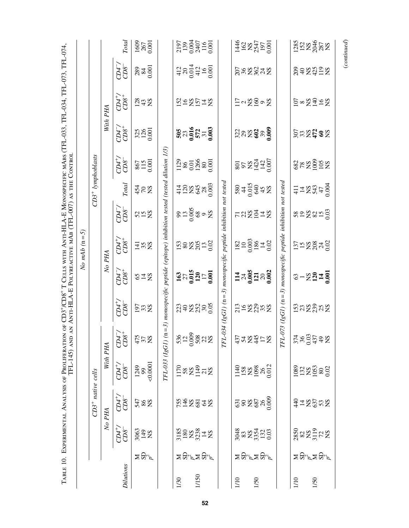|           |                                                                                                                         |                                                        |                      | TFL-145) AND                                  |                                            |                       |                                                                           | AN ANTI-HLA-E POLYREACTIVE MAB (TFL-007) AS THE CONTROL                |         |                                                                       |                              |                       |                                             |                                          |                                              |
|-----------|-------------------------------------------------------------------------------------------------------------------------|--------------------------------------------------------|----------------------|-----------------------------------------------|--------------------------------------------|-----------------------|---------------------------------------------------------------------------|------------------------------------------------------------------------|---------|-----------------------------------------------------------------------|------------------------------|-----------------------|---------------------------------------------|------------------------------------------|----------------------------------------------|
|           |                                                                                                                         |                                                        |                      |                                               |                                            |                       |                                                                           | $\overline{5}$<br>No mAb (n                                            |         |                                                                       |                              |                       |                                             |                                          |                                              |
|           |                                                                                                                         |                                                        | $CD3^+$ native cells |                                               |                                            |                       |                                                                           |                                                                        |         | $CD3+$ lymphoblasts                                                   |                              |                       |                                             |                                          |                                              |
|           |                                                                                                                         |                                                        | No PHA               | With PHA                                      |                                            |                       | $\aleph$                                                                  | PHA                                                                    |         |                                                                       |                              | With                  | PHA                                         |                                          |                                              |
| Dilutions |                                                                                                                         | $CD4^{+}$<br>CD8                                       | $C\!D4^{+}_{7}$      | $CD4^{+}$ /                                   | $CD4^{-}_{7}$                              | $rac{1}{2}$           | $CD4^{-}_{7}$                                                             | $CD4^{+}_{5}$                                                          | C104    | Total                                                                 | $CD4^{+}_{5}$                | $CD4^{-}_{7}$         | $25^{+1}$                                   | $7D4^{-}$                                | <b>Total</b>                                 |
|           | $\Xi$ ដំ″                                                                                                               | $\frac{3063}{148}$                                     | 288                  | $\frac{1249}{99}$<br><0.0001                  | $475$ $\times 25$                          | $\overline{5}32$      | 872                                                                       | $\overline{4}$ % $\overline{2}$                                        | 852     | $\frac{42}{25}$ SS                                                    | 867<br>115<br>1001           | $325$<br>$0.001$      | 242<br>28                                   | $\frac{289}{840}$                        | $\frac{1609}{267}$                           |
|           |                                                                                                                         |                                                        |                      | TFL-033 (IgGI)                                | $(n=3)$ .                                  |                       |                                                                           | monospecific peptide (epitope) inhibition tested (tested dilution 1/3, |         |                                                                       |                              |                       |                                             |                                          |                                              |
| 1/30      |                                                                                                                         |                                                        |                      |                                               |                                            |                       |                                                                           |                                                                        |         |                                                                       |                              |                       |                                             |                                          |                                              |
| 1/150     | $\mathbf{\Sigma} \, \mathbf{\Xi}^{\omega}_{\mathbf{\omega}} \mathbf{\Sigma} \, \mathbf{\Xi}^{\omega}_{\mathbf{\omega}}$ | 3185<br>180<br>1823<br>323<br>14<br>12                 | <b>EXEES</b>         | $170$<br>$58$<br>$149$<br>$72$<br>$8$<br>$15$ | $536$<br>$-200$<br>$-58$<br>$-12$<br>$-58$ | 2342222               | $\frac{27}{27}$<br>$\frac{25}{120}$<br>$\frac{1}{120}$<br>$\frac{1}{100}$ | 1382531                                                                | 8728808 | $\frac{428222}{425222}$                                               | 1129<br>8601<br>1266<br>2000 |                       | 542542                                      | $\frac{412}{20014}$<br>$\frac{254}{412}$ | 2197<br>139<br>0.004<br>2407<br>116<br>0.001 |
|           |                                                                                                                         |                                                        |                      |                                               |                                            | IFL-034 (IgGI) (n     |                                                                           | $=$ 3) monospecific peptide inhibition not tested                      |         |                                                                       |                              |                       |                                             |                                          |                                              |
| 1/10      |                                                                                                                         |                                                        |                      |                                               |                                            |                       |                                                                           |                                                                        |         |                                                                       |                              |                       |                                             |                                          |                                              |
| 1/50      | ≍පි∽ි≍පි∽                                                                                                               | 3048<br>83<br>8254<br>0.03                             | 382888               | 1140<br>158<br>1098<br>26<br>2012             | 374242                                     | 228882                | $14 \times 5$<br>$0.005$<br>$0.003$                                       |                                                                        | ragg¤g  |                                                                       | 8018742000                   | 22222222              | $\Xi$ <sup>2</sup> $\Xi$ <sup>0</sup> $\Xi$ | <b>SSSS332</b>                           | 146<br>162<br>1625<br>1950<br>1950           |
|           |                                                                                                                         |                                                        |                      |                                               | ΓŁ                                         | $-073$ $(lgGI)$ (n    |                                                                           | $=$ 3) monospecific peptide inhibition                                 |         | not tested                                                            |                              |                       |                                             |                                          |                                              |
| 1/10      |                                                                                                                         |                                                        |                      |                                               |                                            |                       |                                                                           |                                                                        |         |                                                                       |                              |                       |                                             |                                          |                                              |
| 1/50      | ≍පි∽ි≍පු~                                                                                                               | $\frac{285}{82}$<br>$\frac{21}{31}$<br>$\frac{25}{12}$ | $rac{4}{3} = 5225$   | 1089<br>132<br>1953<br>0.02                   | $3749$<br>$36379$<br>$492$<br>$82$         | ິຕິສ <sub>ິ</sub> ຊິສ | $8 - 227$                                                                 | 552825                                                                 | soggang | $\frac{1}{4}$ $\frac{1}{4}$ $\frac{8}{3}$ $\frac{4}{9}$ $\frac{6}{9}$ | 8289952                      | <u>និ</u> ងនិដ្ឋ ខ្លួ | $\S$ 23328                                  | Sazzaz                                   | 122<br>152<br>2048<br>28                     |
|           |                                                                                                                         |                                                        |                      |                                               |                                            |                       |                                                                           |                                                                        |         |                                                                       |                              |                       |                                             |                                          |                                              |

(*continued*)

 $\label{eq:constrained} (continued)$ 

TABLE 10. EXPERIMENTAL ANALYSIS OF PROLIFERATION OF CD3<sup>+</sup>/CD8<sup>+</sup> T CELLS WITH ANTI-HLA-E MONOSPECIFIC MABS (TFL-033, TFL-034, TFL-073, TFL-074, Table 10. Experimental Analysis of Proliferation of CD3+/CD8+ T Cells with Anti-HLA-E Monospecific mAbs (TFL-033, TFL-034, TFL-073, TFL-074,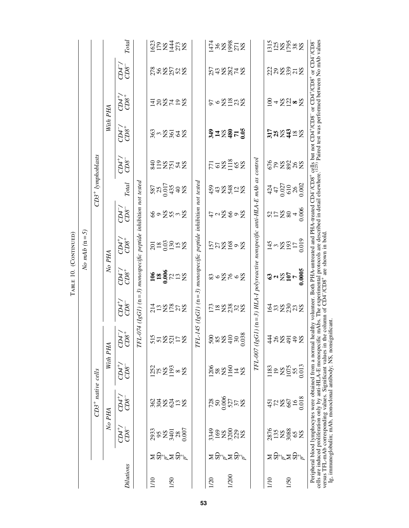|                  |           |                                 |                                                                                                                                                                                                                                                                                                                                                                                                                                                                                                                                    |                                                            |                                 |                                                                           |                                                                                               | No mAb $(n=5)$                                   |                         |                                         |                     |                                        |                                                                   |                |                    |
|------------------|-----------|---------------------------------|------------------------------------------------------------------------------------------------------------------------------------------------------------------------------------------------------------------------------------------------------------------------------------------------------------------------------------------------------------------------------------------------------------------------------------------------------------------------------------------------------------------------------------|------------------------------------------------------------|---------------------------------|---------------------------------------------------------------------------|-----------------------------------------------------------------------------------------------|--------------------------------------------------|-------------------------|-----------------------------------------|---------------------|----------------------------------------|-------------------------------------------------------------------|----------------|--------------------|
|                  |           |                                 | $CD3+$ native cells                                                                                                                                                                                                                                                                                                                                                                                                                                                                                                                |                                                            |                                 |                                                                           |                                                                                               |                                                  |                         |                                         | $CD3+$ lymphoblasts |                                        |                                                                   |                |                    |
|                  |           |                                 | No PHA                                                                                                                                                                                                                                                                                                                                                                                                                                                                                                                             | With PHA                                                   |                                 |                                                                           | No PHA                                                                                        |                                                  |                         |                                         |                     |                                        | With PHA                                                          |                |                    |
| <b>Dilutions</b> |           | $CD4+/$<br>$CDS^-$              | $CD4^+$                                                                                                                                                                                                                                                                                                                                                                                                                                                                                                                            | $CD4^{+}$                                                  | $CD4^{-}$ /                     | $C\!D4^{+}_{7}$                                                           | $CD4^{-}_{}$                                                                                  | $C\!D4^{+}_{6}$                                  | $C\mathcal{D}4^{-}_{5}$ | <b>Total</b>                            | $C\!D4^{+}_{7}$     | CD47                                   | $CD4^{+}$                                                         | $CD4^{-}_{7}$  | Total              |
|                  |           |                                 |                                                                                                                                                                                                                                                                                                                                                                                                                                                                                                                                    |                                                            |                                 |                                                                           | $TFL$ -074 ( $IgG$ I) ( $n=3$ ) monospecific peptide inhibition not tested                    |                                                  |                         |                                         |                     |                                        |                                                                   |                |                    |
| 1/10             | ≍ది∝≍ది∝  | 293<br>95<br>2401<br>28<br>2007 | eszgng                                                                                                                                                                                                                                                                                                                                                                                                                                                                                                                             | $\frac{152}{75}$ $\approx$ $\frac{25}{193}$                | $515$<br>$527$<br>$527$<br>$52$ | <b>HASE528</b>                                                            | <b>1986238</b>                                                                                | 283228                                           | 802892                  | $587$<br>$254$<br>$394$<br>$49$<br>$82$ | <b>SHERES</b>       | $\S$ ng $\S$ $\S$ g $\S$ g $\S$ g $\S$ | Eagrag                                                            | 2882528        | 162<br>1784<br>178 |
| 1/50             |           |                                 |                                                                                                                                                                                                                                                                                                                                                                                                                                                                                                                                    |                                                            |                                 |                                                                           |                                                                                               |                                                  |                         |                                         |                     |                                        |                                                                   |                |                    |
|                  |           |                                 |                                                                                                                                                                                                                                                                                                                                                                                                                                                                                                                                    |                                                            |                                 |                                                                           |                                                                                               |                                                  |                         |                                         |                     |                                        |                                                                   |                |                    |
|                  |           |                                 |                                                                                                                                                                                                                                                                                                                                                                                                                                                                                                                                    |                                                            |                                 |                                                                           | TFL-145 ( $IgGI$ ) ( $n=3$ ) monospecific peptide inhibition not tested                       |                                                  |                         |                                         |                     |                                        |                                                                   |                |                    |
| 1/20             |           |                                 |                                                                                                                                                                                                                                                                                                                                                                                                                                                                                                                                    |                                                            |                                 |                                                                           |                                                                                               |                                                  |                         |                                         |                     |                                        |                                                                   |                |                    |
|                  |           |                                 |                                                                                                                                                                                                                                                                                                                                                                                                                                                                                                                                    |                                                            |                                 |                                                                           |                                                                                               |                                                  |                         |                                         |                     |                                        |                                                                   |                |                    |
| 1/200            | ≍జ్ఞ≍జ″   | 33888                           | 728<br>50.006<br>527<br>527                                                                                                                                                                                                                                                                                                                                                                                                                                                                                                        | 006<br>882918                                              | 500<br>8524788<br>00038         | $\mathbb{F}^{\alpha}_{2} \mathbb{Z}^{\alpha}_{3} \mathbb{Z}^{\alpha}_{2}$ | 80gr0g                                                                                        | 528808                                           | 502802                  | $$3423$<br>$$423$                       | <b>ESSHOE</b>       | <b>SHASELS</b>                         | $5 - 232$                                                         | <b>2384825</b> | 17889522           |
|                  |           |                                 |                                                                                                                                                                                                                                                                                                                                                                                                                                                                                                                                    |                                                            |                                 |                                                                           |                                                                                               |                                                  |                         |                                         |                     |                                        |                                                                   |                |                    |
|                  |           |                                 |                                                                                                                                                                                                                                                                                                                                                                                                                                                                                                                                    |                                                            |                                 |                                                                           |                                                                                               |                                                  |                         |                                         |                     |                                        |                                                                   |                |                    |
|                  |           |                                 |                                                                                                                                                                                                                                                                                                                                                                                                                                                                                                                                    |                                                            |                                 |                                                                           | $TFL-007$ ( $IgGI$ ) ( $n=3$ ) $HLA-I$ polyreactive nonspecific anti- $HLA$ -E mAb as control |                                                  |                         |                                         |                     |                                        |                                                                   |                |                    |
| 1/10             |           | 2876<br>13588<br>3088           | 52865000                                                                                                                                                                                                                                                                                                                                                                                                                                                                                                                           | $\frac{1183}{19}$<br>$\frac{195}{1075}$<br>$\frac{55}{13}$ | 485238                          | ទីដងនីឌន                                                                  |                                                                                               | $\frac{45}{4}$ m $\frac{25}{2}$ m $\frac{25}{2}$ | 8584800                 |                                         | <b>SPESSE</b>       | <b>32332533</b>                        | $\frac{8}{2} + \frac{8}{2}$ $\frac{8}{2}$ $\approx$ $\frac{8}{2}$ | ິ່ສຸລະສິນສ     | 1128588            |
|                  |           |                                 |                                                                                                                                                                                                                                                                                                                                                                                                                                                                                                                                    |                                                            |                                 |                                                                           |                                                                                               |                                                  |                         |                                         |                     |                                        |                                                                   |                |                    |
| 1/50             | ≍පි∽້≍පු~ |                                 |                                                                                                                                                                                                                                                                                                                                                                                                                                                                                                                                    |                                                            |                                 |                                                                           |                                                                                               |                                                  |                         |                                         |                     |                                        |                                                                   |                |                    |
|                  |           |                                 |                                                                                                                                                                                                                                                                                                                                                                                                                                                                                                                                    |                                                            |                                 |                                                                           |                                                                                               |                                                  |                         |                                         |                     |                                        |                                                                   |                |                    |
|                  |           |                                 |                                                                                                                                                                                                                                                                                                                                                                                                                                                                                                                                    |                                                            |                                 |                                                                           |                                                                                               |                                                  |                         |                                         |                     |                                        |                                                                   |                |                    |
|                  |           |                                 | Peripheral blood lymphocytes were obtained from a normal healthy volunteer. Both PHA-untreated and PHA-reated CD4 <sup>-</sup> /CD8 <sup>+</sup> cells but not CD4 <sup>+</sup> /CD8 <sup>-</sup> or CD4 <sup>+</sup> /CD8 <sup>+</sup> or CD4 <sup>-/</sup> CD8 <sup>-</sup><br>Ells are induced proliferation only<br>cells are induced proliferation only by anti-HLA-E monospecific mAbs.<br>Ig, immunoglobulin; mAb, monoclonal antibody; NS, nonsignificant<br>versus TFL-mAb corresponding values. Significant values in th |                                                            |                                 |                                                                           |                                                                                               |                                                  |                         |                                         |                     |                                        |                                                                   |                |                    |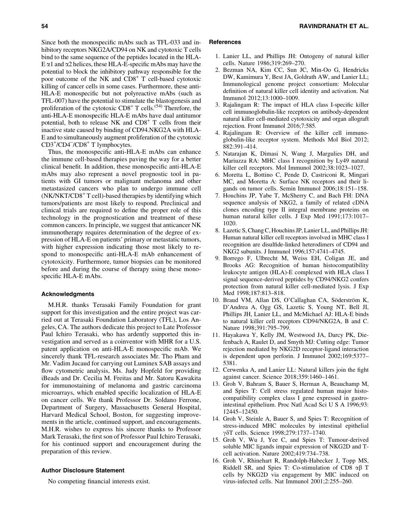Since both the monospecific mAbs such as TFL-033 and inhibitory receptors NKG2A/CD94 on NK and cytotoxic T cells bind to the same sequence of the peptides located in the HLA- $E \alpha 1$  and  $\alpha 2$  helices, these HLA-E-specific mAbs may have the potential to block the inhibitory pathway responsible for the poor outcome of the NK and  $CD8<sup>+</sup>$  T cell-based cytotoxic killing of cancer cells in some cases. Furthermore, these anti-HLA-E monospecific but not polyreactive mAbs (such as TFL-007) have the potential to stimulate the blastogenesis and proliferation of the cytotoxic  $CD8^+$  T cells.<sup>(54)</sup> Therefore, the anti-HLA-E monospecific HLA-E mAbs have dual antitumor potential, both to release  $NK$  and  $CD8<sup>+</sup>$  T cells from their inactive state caused by binding of CD94.NKG2A with HLA-E and to simultaneously augment proliferation of the cytotoxic CD3+/CD4<sup>-</sup>/CD8<sup>+</sup> T lymphocytes.

Thus, the monospecific anti-HLA-E mAbs can enhance the immune cell-based therapies paving the way for a better clinical benefit. In addition, these monospecific anti-HLA-E mAbs may also represent a novel prognostic tool in patients with GI tumors or malignant melanoma and other metastasized cancers who plan to undergo immune cell  $(NK/NKT/CD8<sup>+</sup> T cell)$ -based therapies by identifying which tumors/patients are most likely to respond. Preclinical and clinical trials are required to define the proper role of this technology in the prognostication and treatment of these common cancers. In principle, we suggest that anticancer NK immunotherapy requires determination of the degree of expression of HLA-E on patients' primary or metastatic tumors, with higher expression indicating those most likely to respond to monospecific anti-HLA-E mAb enhancement of cytotoxicity. Furthermore, tumor biopsies can be monitored before and during the course of therapy using these monospecific HLA-E mAbs.

#### Acknowledgments

M.H.R. thanks Terasaki Family Foundation for grant support for this investigation and the entire project was carried out at Terasaki Foundation Laboratory (TFL), Los Angeles, CA. The authors dedicate this project to Late Professor Paul Ichiro Terasaki, who has ardently supported this investigation and served as a coinventor with MHR for a U.S. patent application on anti-HLA-E monospecific mAb. We sincerely thank TFL-research associates Mr. Tho Pham and Mr. Vadim Jucaud for carrying out Luminex SAB assays and flow cytometric analysis, Ms. Judy Hopfeld for providing iBeads and Dr. Cecilia M. Freitas and Mr. Satoru Kawakita for immunostaining of melanoma and gastric carcinoma microarrays, which enabled specific localization of HLA-E on cancer cells. We thank Professor Dr. Soldano Ferrone, Department of Surgery, Massachusetts General Hospital, Harvard Medical School, Boston, for suggesting improvements in the article, continued support, and encouragements. M.H.R. wishes to express his sincere thanks to Professor Mark Terasaki, the first son of Professor Paul Ichiro Terasaki, for his continued support and encouragement during the preparation of this review.

#### Author Disclosure Statement

No competing financial interests exist.

#### **References**

- 1. Lanier LL, and Phillips JH: Ontogeny of natural killer cells. Nature 1986;319:269–270.
- 2. Bezman NA, Kim CC, Sun JC, Min-Oo G, Hendricks DW, Kamimura Y, Best JA, Goldrath AW, and Lanier LL; Immunological genome project consortium: Molecular definition of natural killer cell identity and activation. Nat Immunol 2012;13:1000–1009.
- 3. Rajalingam R: The impact of HLA class I-specific killer cell immunoglobulin-like receptors on antibody-dependent natural killer cell-mediated cytotoxicity and organ allograft rejection. Front Immunol 2016;7:585.
- 4. Rajalingam R: Overview of the killer cell immunoglobulin-like receptor system. Methods Mol Biol 2012; 882:391–414.
- 5. Natarajan K, Dimasi N, Wang J, Margulies DH, and Mariuzza RA: MHC class I recognition by Ly49 natural killer cell receptors. Mol Immunol 2002;38:1023–1027.
- 6. Moretta L, Bottino C, Pende D, Castriconi R, Mingari MC, and Moretta A: Surface NK receptors and their ligands on tumor cells. Semin Immunol 2006;18:151–158.
- 7. Houchins JP, Yabe T, McSherry C, and Bach FH: DNA sequence analysis of NKG2, a family of related cDNA clones encoding type II integral membrane proteins on human natural killer cells. J Exp Med 1991;173:1017– 1020.
- 8. Lazetic S, Chang C, Houchins JP, Lanier LL, and Phillips JH: Human natural killer cell receptors involved in MHC class I recognition are disulfide-linked heterodimers of CD94 and NKG2 subunits. J Immunol 1996;157:4741–4745.
- 9. Borrego F, Ulbrecht M, Weiss EH, Coligan JE, and Brooks AG: Recognition of human histocompatibility leukocyte antigen (HLA)-E complexed with HLA class I signal sequence-derived peptides by CD94/NKG2 confers protection from natural killer cell-mediated lysis. J Exp Med 1998;187:813–818.
- 10. Braud VM, Allan DS, O'Callaghan CA, Söderström K, D'Andrea A, Ogg GS, Lazetic S, Young NT, Bell JI, Phillips JH, Lanier LL, and McMichael AJ: HLA-E binds to natural killer cell receptors CD94/NKG2A, B and C. Nature 1998;391:795–799.
- 11. Hayakawa Y, Kelly JM, Westwood JA, Darcy PK, Diefenbach A, Raulet D, and Smyth MJ: Cutting edge: Tumor rejection mediated by NKG2D receptor-ligand interaction is dependent upon perforin. J Immunol 2002;169:5377– 5381.
- 12. Cerwenka A, and Lanier LL: Natural killers join the fight against cancer. Science 2018;359:1460–1461.
- 13. Groh V, Bahram S, Bauer S, Herman A, Beauchamp M, and Spies T: Cell stress regulated human major histocompatibility complex class I gene expressed in gastrointestinal epithelium. Proc Natl Acad Sci U S A 1996;93: 12445–12450.
- 14. Groh V, Steinle A, Bauer S, and Spies T: Recognition of stress-induced MHC molecules by intestinal epithelial γδT cells. Science 1998;279:1737–1740.
- 15. Groh V, Wu J, Yee C, and Spies T: Tumour-derived soluble MIC ligands impair expression of NKG2D and Tcell activation. Nature 2002;419:734–738.
- 16. Groh V, Rhinehart R, Randolph-Habecker J, Topp MS, Riddell SR, and Spies T: Co-stimulation of CD8  $\alpha\beta$  T cells by NKG2D via engagement by MIC induced on virus-infected cells. Nat Immunol 2001;2:255–260.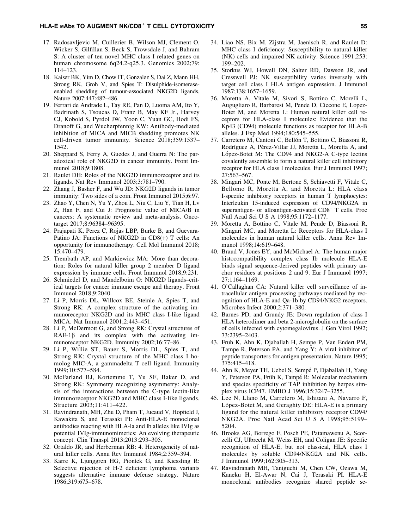- 17. Radosavljevic M, Cuillerier B, Wilson MJ, Clement O, Wicker S, Gilfillan S, Beck S, Trowsdale J, and Bahram S: A cluster of ten novel MHC class I related genes on human chromosome 6q24.2-q25.3. Genomics 2002;79: 114–123.
- 18. Kaiser BK, Yim D, Chow IT, Gonzalez S, Dai Z, Mann HH, Strong RK, Groh V, and Spies T: Disulphide-isomeraseenabled shedding of tumour-associated NKG2D ligands. Nature 2007;447:482–486.
- 19. Ferrari de Andrade L, Tay RE, Pan D, Luoma AM, Ito Y, Badrinath S, Tsoucas D, Franz B, May KF Jr., Harvey CJ, Kobold S, Pyrdol JW, Yoon C, Yuan GC, Hodi FS, Dranoff G, and Wucherpfennig KW: Antibody-mediated inhibition of MICA and MICB shedding promotes NK cell-driven tumor immunity. Science 2018;359:1537– 1542.
- 20. Sheppard S, Ferry A, Guedes J, and Guerra N: The paradoxical role of NKG2D in cancer immunity. Front Immunol 2018;9:1808.
- 21. Raulet DH: Roles of the NKG2D immunoreceptor and its ligands. Nat Rev Immunol 2003;3:781–790.
- 22. Zhang J, Basher F, and Wu JD: NKG2D ligands in tumor immunity: Two sides of a coin. Front Immunol 2015;6:97.
- 23. Zhao Y, Chen N, Yu Y, Zhou L, Niu C, Liu Y, Tian H, Lv Z, Han F, and Cui J: Prognostic value of MICA/B in cancers: A systematic review and meta-analysis. Oncotarget 2017;8:96384–96395.
- 24. Prajapati K, Perez C, Rojas LBP, Burke B, and Guevara-Patino JA: Functions of NKG2D in CD8(+) T cells: An opportunity for immunotherapy. Cell Mol Immunol 2018; 15:470–479.
- 25. Trembath AP, and Markiewicz MA: More than decoration: Roles for natural killer group 2 member D ligand expression by immune cells. Front Immunol 2018;9:231.
- 26. Schmiedel D, and Mandelboim O: NKG2D ligands–critical targets for cancer immune escape and therapy. Front Immunol 2018;9:2040.
- 27. Li P, Morris DL, Willcox BE, Steinle A, Spies T, and Strong RK: A complex structure of the activating immunoreceptor NKG2D and its MHC class I-like ligand MICA. Nat Immunol 2001;2:443–451.
- 28. Li P, McDermott G, and Strong RK: Crystal structures of  $RAE-1\beta$  and its complex with the activating immunoreceptor NKG2D. Immunity 2002;16:77–86.
- 29. Li P, Willie ST, Bauer S, Morris DL, Spies T, and Strong RK: Crystal structure of the MHC class I homolog MIC-A, a gammadelta T cell ligand. Immunity 1999;10:577–584.
- 30. McFarland BJ, Kortemme T, Yu SF, Baker D, and Strong RK: Symmetry recognizing asymmetry: Analysis of the interactions between the C-type lectin-like immunoreceptor NKG2D and MHC class I-like ligands. Structure 2003;11:411–422.
- 31. Ravindranath, MH, Zhu D, Pham T, Jucaud V, Hopfield J, Kawakita S, and Terasaki PI: Anti-HLA-E monoclonal antibodies reacting with HLA-la and lb alleles like IVIg as potential IVIg-immunomimetics: An evolving therapeutic concept. Clin Transpl 2013;2013:293–305.
- 32. Ortaldo JR, and Herberman RB: 4. Heterogeneity of natural killer cells. Annu Rev Immunol 1984;2:359–394.
- 33. Karre K, Ljunggren HG, Piontek G, and Kiessling R: Selective rejection of H-2 deficient lymphoma variants suggests alternative immune defense strategy. Nature 1986;319:675–678.
- 34. Liao NS, Bix M, Zijstra M, Jaenisch R, and Raulet D: MHC class I deficiency: Susceptibility to natural killer (NK) cells and impaired NK activity. Science 1991;253: 199–202.
- 35. Storkus WJ, Howell DN, Salter RD, Dawson JR, and Cresswell PJ: NK susceptibility varies inversely with target cell class I HLA antigen expression. J Immunol 1987;138:1657–1659.
- 36. Moretta A, Vitale M, Sivori S, Bottino C, Morelli L, Augugliaro R, Barbaresi M, Pende D, Ciccone E, Lopez-Botet M, and Moretta L: Human natural killer cell receptors for HLA-class I molecules: Evidence that the Kp43 (CD94) molecule functions as receptor for HLA-B alleles. J Exp Med 1994;180:545–555.
- 37. Carretero M, Cantoni C, Bellón T, Bottino C, Biassoni R, Rodríguez A, Pérez-Villar JJ, Moretta L, Moretta A, and López-Botet M: The CD94 and NKG2-A C-type lectins covalently assemble to form a natural killer cell inhibitory receptor for HLA class I molecules. Eur J Immunol 1997; 27:563–567.
- 38. Mingari MC, Ponte M, Bertone S, Schiavetti F, Vitale C, Bellomo R, Moretta A, and Moretta L: HLA class I-specific inhibitory receptors in human T lymphocytes: Interleukin 15-induced expression of CD94/NKG2A in superantigen- or alloantigen-activated  $CD8<sup>+</sup>$  T cells. Proc Natl Acad Sci U S A 1998;95:1172–1177.
- 39. Moretta A, Bottino C, Vitale M, Pende D, Biassoni R, Mingari MC, and Moretta L: Receptors for HLA-class I molecules in human natural killer cells. Annu Rev Immunol 1998;14:619–648.
- 40. Braud V, Jones EY, and McMichael A: The human major histocompatibility complex class Ib molecule HLA-E binds signal sequence-derived peptides with primary anchor residues at positions 2 and 9. Eur J Immunol 1997; 27:1164–1169.
- 41. O'Callaghan CA: Natural killer cell surveillance of intracellular antigen processing pathways mediated by recognition of HLA-E and Qa-1b by CD94/NKG2 receptors. Microbes Infect 2000;2:371–380.
- 42. Barnes PD, and Grundy JE: Down regulation of class I HLA heterodimer and beta 2-microglobulin on the surface of cells infected with cytomegalovirus. J Gen Virol 1992; 73:2395–2403.
- 43. Fruh K, Ahn K, Djaballah H, Sempe P, Van Endert PM, Tampe R, Peterson PA, and Yang Y: A viral inhibitor of peptide transporters for antigen presentation. Nature 1995; 375:415–418.
- 44. Ahn K, Meyer TH, Uebel S, Sempé P, Djaballah H, Yang Y, Peterson PA, Früh K, Tampé R: Molecular mechanism and species specificity of TAP inhibition by herpes simplex virus ICP47. EMBO J 1996;15:3247–3255.
- 45. Lee N, Llano M, Carretero M, Ishitani A, Navarro F, López-Botet M, and Geraghty DE: HLA-E is a primary ligand for the natural killer inhibitory receptor CD94/ NKG2A. Proc Natl Acad Sci U S A 1998;95:5199– 5204.
- 46. Brooks AG, Borrego F, Posch PE, Patamawenu A, Scorzelli CJ, Ulbrecht M, Weiss EH, and Coligan JE: Specific recognition of HLA-E, but not classical, HLA class I molecules by soluble CD94/NKG2A and NK cells. J Immunol 1999;162:305–313.
- 47. Ravindranath MH, Taniguchi M, Chen CW, Ozawa M, Kaneku H, El-Awar N, Cai J, Terasaki PI. HLA-E monoclonal antibodies recognize shared peptide se-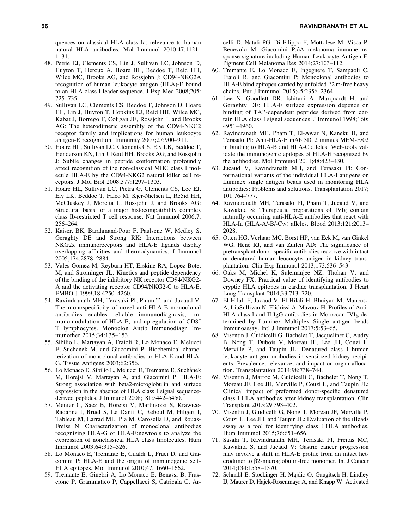quences on classical HLA class Ia: relevance to human natural HLA antibodies. Mol Immunol 2010;47:1121– 1131.

- 48. Petrie EJ, Clements CS, Lin J, Sullivan LC, Johnson D, Huyton T, Heroux A, Hoare HL, Beddoe T, Reid HH, Wilce MC, Brooks AG, and Rossjohn J: CD94-NKG2A recognition of human leukocyte antigen (HLA)-E bound to an HLA class I leader sequence. J Exp Med 2008;205: 725–735.
- 49. Sullivan LC, Clements CS, Beddoe T, Johnson D, Hoare HL, Lin J, Huyton T, Hopkins EJ, Reid HH, Wilce MC, Kabat J, Borrego F, Coligan JE, Rossjohn J, and Brooks AG: The heterodimeric assembly of the CD94-NKG2 receptor family and implications for human leukocyte antigen-E recognition. Immunity 2007;27:900–911.
- 50. Hoare HL, Sullivan LC, Clements CS, Ely LK, Beddoe T, Henderson KN, Lin J, Reid HH, Brooks AG, and Rossjohn J: Subtle changes in peptide conformation profoundly affect recognition of the non-classical MHC class I molecule HLA-E by the CD94-NKG2 natural killer cell receptors. J Mol Biol 2008;377:1297–1303.
- 51. Hoare HL, Sullivan LC, Pietra G, Clements CS, Lee EJ, Ely LK, Beddoe T, Falco M, Kjer-Nielsen L, Re5id HH, McCluskey J, Moretta L, Rossjohn J, and Brooks AG: Structural basis for a major histocompatibility complex class Ib-restricted T cell response. Nat Immunol 2006;7: 256–264.
- 52. Kaiser, BK, Barahmand-Pour F, Paulsene W, Medley S, Geraghty DE and Strong RK: Interactions between NKG2x immunoreceptors and HLA-E ligands display overlapping affinities and thermodynamics. J Immunol 2005;174:2878–2884.
- 53. Vales-Gomez M, Reyburn HT, Erskine RA, Lopez-Botet M, and Strominger JL: Kinetics and peptide dependency of the binding of the inhibitory NK receptor CD94/NKG2- A and the activating receptor CD94/NKG2-C to HLA-E. EMBO J 1999;18:4250–4260.
- 54. Ravindranath MH, Terasaki PI, Pham T, and Jucaud V: The monospecificity of novel anti-HLA-E monoclonal antibodies enables reliable immunodiagnosis, immunomodulation of HLA-E, and upregulation of CD8<sup>+</sup> T lymphocytes. Monoclon Antib Immunodiagn Immunother 2015;34:135–153.
- 55. Sibilio L, Martayan A, Fraioli R, Lo Monaco E, Melucci E, Suchanek M, and Giacomini P: Biochemical characterization of monoclonal antibodies to HLA-E and HLA-G. Tissue Antigens 2003;62:356.
- 56. Lo Monaco E, Sibilio L, Melucci E, Tremante E, Suchànek M, Horejsi V, Martayan A, and Giacomini P: HLA-E: Strong association with beta2-microglobulin and surface expression in the absence of HLA class I signal sequencederived peptides. J Immunol 2008;181:5442–5450.
- 57. Menier C, Saez B, Horejsi V, Martinozzi S, Krawice-Radanne I, Bruel S, Le Danff C, Reboul M, Hilgert I, Tableau M, Larrad ML, Pla M, Carosella D, and Rouas-Freiss N: Characterization of monoclonal antibodies recognizing HLA-G or HLA-E:newtools to analyze the expression of nonclassical HLA class Imolecules. Hum Immunol 2003;64:315–326.
- 58. Lo Monaco E, Tremante E, Cifaldi L, Fruci D, and Giacomini P: HLA-E and the origin of immunogenic self-HLA epitopes. Mol Immunol 2010;47, 1660–1662.
- 59. Tremante E, Ginebri A, Lo Monaco E, Benassi B, Frascione P, Grammatico P, Cappellacci S, Catricala C, Ar-

celli D, Natali PG, Di Filippo F, Mottolese M, Visca P, Benevolo M, Giacomini P:ôA melanoma immune response signature including Human Leukocyte Antigen-E. Pigment Cell Melanoma Res 2014;27:103–112.

- 60. Tremante E, Lo Monaco E, Ingegnere T, Sampaoli C, Fraioli R, and Giacomini P: Monoclonal antibodies to HLA-E bind epitopes carried by unfolded  $\beta$ 2 m-free heavy chains. Eur J Immunol 2015;45:2356–2364.
- 61. Lee N, Goodlett DR, Ishitani A, Marquardt H, and Geraghty DE: HLA-E surface expression depends on binding of TAP-dependent peptides derived from certain HLA class I signal sequences. J Immunol 1998;160: 4951–4960.
- 62. Ravindranath MH, Pham T, El-Awar N, Kaneku H, and Terasaki PI: Anti-HLA-E mAb 3D12 mimics MEM-E/02 in binding to HLA-B and HLA-C alleles: Web-tools validate the immunogenic epitopes of HLA-E recognized by the antibodies. Mol Immunol 2011;48:423–430.
- 63. Jucaud V, Ravindranath MH, and Terasaki PI: Conformational variants of the individual HLA-I antigens on Luminex single antigen beads used in monitoring HLA antibodies: Problems and solutions. Transplantation 2017; 101:764–777.
- 64. Ravindranath MH, Terasaki PI, Pham T, Jucaud V, and Kawakita S: Therapeutic preparations of IVIg contain naturally occurring anti-HLA-E antibodies that react with HLA-Ia (HLA-A/-B/-Cw) alleles. Blood 2013;121:2013– 2028.
- 65. Otten HG, Verhaar MC, Borst HP, van Eck M, van Ginkel WG, Hené RJ, and van Zuilen AD: The significance of pretransplant donor-specific antibodies reactive with intact or denatured human leucocyte antigen in kidney transplantation. Clin Exp Immunol 2013;173:536–543.
- 66. Oaks M, Michel K, Sulemanjee NZ, Thohan V, and Downey FX: Practical value of identifying antibodies to cryptic HLA epitopes in cardiac transplantation. J Heart Lung Transplant 2014;33:713–720.
- 67. El Hilali F, Jucaud V, El Hilali H, Bhuiyan M, Mancuso A, LiuSullivan N, Elidrissi A, Mazouz H. Profiles of Anti-HLA class I and II IgG antibodies in Moroccan IVIg determined by Luminex Multiplex Single antigen beads Immunoassay. Intl J Immunol 2017;5:53–65.
- 68. Visentin J, Guidicelli G, Bachelet T, Jacquelinet C, Audry B, Nong T, Dubois V, Moreau JF, Lee JH, Couzi L, Merville P, and Taupin JL: Denatured class I human leukocyte antigen antibodies in sensitized kidney recipients: Prevalence, relevance, and impact on organ allocation. Transplantation 2014;98:738–744.
- 69. Visentin J, Marroc M, Guidicelli G, Bachelet T, Nong T, Moreau JF, Lee JH, Merville P, Couzi L, and Taupin JL: Clinical impact of preformed donor-specific denatured class I HLA antibodies after kidney transplantation. Clin Transplant 2015;29:393–402.
- 70. Visentin J, Guidicelli G, Nong T, Moreau JF, Merville P, Couzi L, Lee JH, and Taupin JL: Evaluation of the iBeads assay as a tool for identifying class I HLA antibodies. Hum Immunol 2015;76:651–656.
- 71. Sasaki T, Ravindranath MH, Terasaki PI, Freitas MC, Kawakita S, and Jucaud V: Gastric cancer progression may involve a shift in HLA-E profile from an intact heterodimer to β2-microglobulin-free monomer. Int J Cancer 2014;134:1558–1570.
- 72. Schnabl E, Stockinger H, Majdic O, Gaugitsch H, Lindley IJ, Maurer D, Hajek-Rosenmayr A, and Knapp W: Activated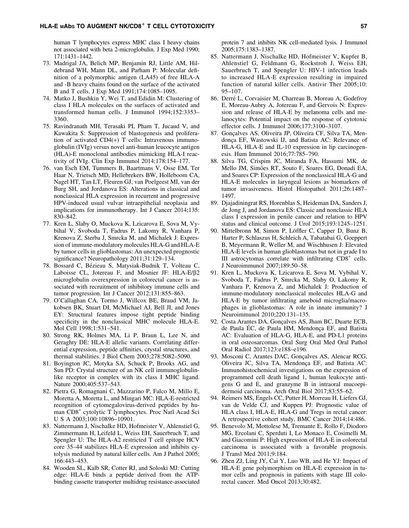human T lymphocytes express MHC class I heavy chains not associated with beta 2-microglobulin. J Exp Med 1990; 171:1431–1442.

- 73. Madrigal JA, Belich MP, Benjamin RJ, Little AM, Hildebrand WH, Mann DL, and Parham P: Molecular definition of a polymorphic antigen (LA45) of free HLA-A and -B heavy chains found on the surface of the activated B and T cells. J Exp Med 1991;174:1085–1095.
- 74. Matko J, Bushkin Y, Wei T, and Edidin M: Clustering of class I HLA molecules on the surfaces of activated and transformed human cells. J Immunol 1994;152:3353– 3360.
- 75. Ravindranath MH, Terasaki PI, Pham T, Jucaud V, and Kawakita S: Suppression of blastogenesis and proliferation of activated CD4(+) T cells: Intravenous immunoglobulin (IVIg) versus novel anti-human leucocyte antigen (HLA)-E monoclonal antibodies mimicking HLA-I reactivity of IVIg. Clin Exp Immunol 2014;178:154–177.
- 76. van Esch EM, Tummers B, Baartmans V, Osse EM, Ter Haar N, Trietsch MD, Hellebrekers BW, Holleboom CA, Nagel HT, Tan LT, Fleuren GJ, van Poelgeest MI, van der Burg SH, and Jordanova ES: Alterations in classical and nonclassical HLA expression in recurrent and progressive HPV-induced usual vulvar intraepithelial neoplasia and implications for immunotherapy. Int J Cancer 2014;135: 830–842.
- 77. Kren L, Slaby O, Muckova K, Lzicarova E, Sova M, Vybihal V, Svoboda T, Fadrus P, Lakomy R, Vanhara P, Krenova Z, Sterba J, Smrcka M, and Michalek J: Expression of immune-modulatory molecules HLA-G and HLA-E by tumor cells in glioblastomas: An unexpected prognostic significance? Neuropathology 2011;31:129–134.
- 78. Bossard C, Bézieau S, Matysiak-Budnik T, Volteau C, Laboisse CL, Jotereau F, and Mosnier JF: HLA-E/ $\beta$ 2 microglobulin overexpression in colorectal cancer is associated with recruitment of inhibitory immune cells and tumor progression. Int J Cancer 2012;131:855–863.
- 79. O'Callaghan CA, Tormo J, Willcox BE, Braud VM, Jakobsen BK, Stuart DI, McMichael AJ, Bell JI, and Jones EY: Structural features impose tight peptide binding specificity in the nonclassical MHC molecule HLA-E. Mol Cell 1998;1:531–541.
- 80. Strong RK, Holmes MA, Li P, Braun L, Lee N, and Geraghty DE: HLA-E allelic variants. Correlating differential expression, peptide affinities, crystal structures, and thermal stabilities. J Biol Chem 2003;278:5082–5090.
- 81. Boyington JC, Motyka SA, Schuck P, Brooks AG, and Sun PD: Crystal structure of an NK cell immunoglobulinlike receptor in complex with its class I MHC ligand. Nature 2000;405:537–543.
- 82. Pietra G, Romagnani C, Mazzarino P, Falco M, Millo E, Moretta A, Moretta L, and Mingari MC: HLA-E-restricted recognition of cytomegalovirus-derived peptides by human CD8<sup>+</sup> cytolytic T lymphocytes. Proc Natl Acad Sci U S A 2003;100:10896–10901.
- 83. Nattermann J, Nischalke HD, Hofmeister V, Ahlenstiel G, Zimmermann H, Leifeld L, Weiss EH, Sauerbruch T, and Spengler U: The HLA-A2 restricted T cell epitope HCV core 35–44 stabilizes HLA-E expression and inhibits cytolysis mediated by natural killer cells. Am J Pathol 2005; 166:443–453.
- 84. Wooden SL, Kalb SR, Cotter RJ, and Soloski MJ: Cutting edge: HLA-E binds a peptide derived from the ATPbinding cassette transporter multidrug resistance-associated

protein 7 and inhibits NK cell-mediated lysis. J Immunol 2005;175:1383–1387.

- 85. Nattermann J, Nischalke HD, Hofmeister V, Kupfer B, Ahlenstiel G, Feldmann G, Rockstroh J, Weiss EH, Sauerbruch T, and Spengler U: HIV-1 infection leads to increased HLA-E expression resulting in impaired function of natural killer cells. Antivir Ther 2005;10: 95–107.
- 86. Derré L, Corvaisier M, Charreau B, Moreau A, Godefroy E, Moreau-Aubry A, Jotereau F, and Gervois N: Expression and release of HLA-E by melanoma cells and melanocytes: Potential impact on the response of cytotoxic effector cells. J Immunol 2006;177:3100–3107.
- 87. Gonçalves AS, Oliveira JP, Oliveira CF, Silva TA, Mendonça EF, Wastowski IJ, and Batista AC: Relevance of HLA-G, HLA-E and IL-10 expression in lip carcinogenesis. Hum Immunol 2016;77:785–790.
- 88. Silva TG, Crispim JC, Miranda FA, Hassumi MK, de Mello JM, Simões RT, Souto F, Soares EG, Donadi EA, and Soares CP: Expression of the nonclassical HLA-G and HLA-E molecules in laryngeal lesions as biomarkers of tumor invasiveness. Histol Histopathol 2011;26:1487– 1497.
- 89. Djajadiningrat RS, Horenblas S, Heideman DA, Sanders J, de Jong J, and Jordanova ES: Classic and nonclassic HLA class I expression in penile cancer and relation to HPV status and clinical outcome. J Urol 2015;193:1245–1251.
- 90. Mittelbronn M, Simon P, Löffler C, Capper D, Bunz B, Harter P, Schlaszus H, Schleich A, Tabatabai G, Goeppert B, Meyermann R, Weller M, and Wischhusen J: Elevated HLA-E levels in human glioblastomas but not in grade I to III astrocytomas correlate with infiltrating  $CD8<sup>+</sup>$  cells. J Neuroimmunol 2007;189:50–58.
- 91. Kren L, Muckova K, Lzicarova E, Sova M, Vybihal V, Svoboda T, Fadrus P, Smrcka M, Slaby O, Lakomy R, Vanhara P, Krenova Z, and Michalek J: Production of immune-modulatory nonclassical molecules HLA-G and HLA-E by tumor infiltrating ameboid microglia/macrophages in glioblastomas: A role in innate immunity? J Neuroimmunol 2010;220:131–135.
- 92. Costa Arantes DA, Gonçalves AS, Jham BC, Duarte ECB, de Paula EC, de Paula HM, Mendonça EF, and Batista AC: Evaluation of HLA-G, HLA-E, and PD-L1 proteins in oral osteosarcomas. Oral Surg Oral Med Oral Pathol Oral Radiol 2017;123:e188–e196.
- 93. Mosconi C, Arantes DAC, Gonçalves AS, Alencar RCG, Oliveira JC, Silva TA, Mendonça EF, and Batista AC: Immunohistochemical investigations on the expression of programmed cell death ligand 1, human leukocyte antigens G and E, and granzyme B in intraoral mucoepidermoid carcinoma. Arch Oral Biol 2017;83:55–62.
- 94. Reimers MS, Engels CC, Putter H, Morreau H, Liefers GJ, van de Velde CJ, and Kuppen PJ: Prognostic value of HLA class I, HLA-E, HLA-G and Tregs in rectal cancer: A retrospective cohort study. BMC Cancer 2014;14:486.
- 95. Benevolo M, Mottolese M, Tremante E, Rollo F, Diodoro MG, Ercolani C, Sperduti I, Lo Monaco E, Cosimelli M, and Giacomini P: High expression of HLA-E in colorectal carcinoma is associated with a favorable prognosis. J Transl Med 2011;9:184.
- 96. Zhen ZJ, Ling JY, Cai Y, Luo WB, and He YJ: Impact of HLA-E gene polymorphism on HLA-E expression in tumor cells and prognosis in patients with stage III colorectal cancer. Med Oncol 2013;30:482.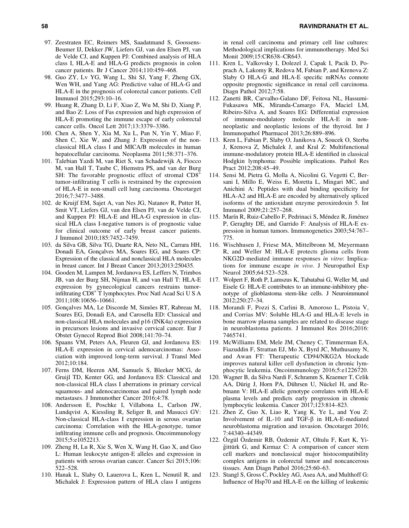- 97. Zeestraten EC, Reimers MS, Saadatmand S, Goossens-Beumer IJ, Dekker JW, Liefers GJ, van den Elsen PJ, van de Velde CJ, and Kuppen PJ: Combined analysis of HLA class I, HLA-E and HLA-G predicts prognosis in colon cancer patients. Br J Cancer 2014;110:459–468.
- 98. Guo ZY, Lv YG, Wang L, Shi SJ, Yang F, Zheng GX, Wen WH, and Yang AG: Predictive value of HLA-G and HLA-E in the prognosis of colorectal cancer patients. Cell Immunol 2015;293:10–16.
- 99. Huang R, Zhang D, Li F, Xiao Z, Wu M, Shi D, Xiang P, and Bao Z: Loss of Fas expression and high expression of HLA-E promoting the immune escape of early colorectal cancer cells. Oncol Lett 2017;13:3379–3386.
- 100. Chen A, Shen Y, Xia M, Xu L, Pan N, Yin Y, Miao F, Shen C, Xie W, and Zhang J: Expression of the nonclassical HLA class I and MICA/B molecules in human hepatocellular carcinoma. Neoplasma 2011;58:371–376.
- 101. Talebian Yazdi M, van Riet S, van Schadewijk A, Fiocco M, van Hall T, Taube C, Hiemstra PS, and van der Burg SH: The favorable prognostic effect of stromal  $CD8<sup>+</sup>$ tumor-infiltrating T cells is restrained by the expression of HLA-E in non-small cell lung carcinoma. Oncotarget 2016;7:3477–3488.
- 102. de Kruijf EM, Sajet A, van Nes JG, Natanov R, Putter H, Smit VT, Liefers GJ, van den Elsen PJ, van de Velde CJ, and Kuppen PJ: HLA-E and HLA-G expression in classical HLA class I-negative tumors is of prognostic value for clinical outcome of early breast cancer patients. J Immunol 2010;185:7452–7459.
- 103. da Silva GB, Silva TG, Duarte RA, Neto NL, Carrara HH, Donadi EA, Gonçalves MA, Soares EG, and Soares CP: Expression of the classical and nonclassical HLA molecules in breast cancer. Int J Breast Cancer 2013;2013:250435.
- 104. Gooden M, Lampen M, Jordanova ES, Leffers N, Trimbos JB, van der Burg SH, Nijman H, and van Hall T: HLA-E expression by gynecological cancers restrains tumorinfiltrating CD8<sup>+</sup> T lymphocytes. Proc Natl Acad Sci U S A 2011;108:10656–10661.
- 105. Gonçalves MA, Le Discorde M, Simões RT, Rabreau M, Soares EG, Donadi EA, and Carosella ED: Classical and non-classical HLA molecules and p16 (INK4a) expression in precursors lesions and invasive cervical cancer. Eur J Obstet Gynecol Reprod Biol 2008;141:70–74.
- 106. Spaans VM, Peters AA, Fleuren GJ, and Jordanova ES: HLA-E expression in cervical adenocarcinomas: Association with improved long-term survival. J Transl Med 2012;10:184.
- 107. Ferns DM, Heeren AM, Samuels S, Bleeker MCG, de Gruijl TD, Kenter GG, and Jordanova ES: Classical and non-classical HLA class I aberrations in primary cervical squamous- and adenocarcinomas and paired lymph node metastases. J Immunother Cancer 2016;4:78.
- 108. Andersson E, Poschke I, Villabona L, Carlson JW, Lundqvist A, Kiessling R, Seliger B, and Masucci GV: Non-classical HLA-class I expression in serous ovarian carcinoma: Correlation with the HLA-genotype, tumor infiltrating immune cells and prognosis. Oncoimmunology 2015;5:e1052213.
- 109. Zheng H, Lu R, Xie S, Wen X, Wang H, Gao X, and Guo L: Human leukocyte antigen-E alleles and expression in patients with serous ovarian cancer. Cancer Sci 2015;106: 522–528.
- 110. Hanak L, Slaby O, Lauerova L, Kren L, Nenutil R, and Michalek J: Expression pattern of HLA class I antigens

in renal cell carcinoma and primary cell line cultures: Methodological implications for immunotherapy. Med Sci Monit 2009;15:CR638–CR643.

- 111. Kren L, Valkovsky I, Dolezel J, Capak I, Pacik D, Poprach A, Lakomy R, Redova M, Fabian P, and Krenova Z: Slaby O HLA-G and HLA-E specific mRNAs connote opposite prognostic significance in renal cell carcinoma. Diagn Pathol 2012;7:58.
- 112. Zanetti BR, Carvalho-Galano DF, Feitosa NL, Hassumi-Fukasawa MK, Miranda-Camargo FA, Maciel LM, Ribeiro-Silva A, and Soares EG: Differential expression of immune-modulatory molecule HLA-E in nonneoplastic and neoplastic lesions of the thyroid. Int J Immunopathol Pharmacol 2013;26:889–896.
- 113. Kren L, Fabian P, Slaby O, Janikova A, Soucek O, Sterba J, Krenova Z, Michalek J, and Kral Z: Multifunctional immune-modulatory protein HLA-E identified in classical Hodgkin lymphoma: Possible implications. Pathol Res Pract 2012;208:45–49.
- 114. Sensi M, Pietra G, Molla A, Nicolini G, Vegetti C, Bersani I, Millo E, Weiss E, Moretta L, Mingari MC, and Anichini A: Peptides with dual binding specificity for HLA-A2 and HLA-E are encoded by alternatively spliced isoforms of the antioxidant enzyme peroxiredoxin 5. Int Immunol 2009;21:257–268.
- 115. Marín R, Ruiz-Cabello F, Pedrinaci S, Méndez R, Jiménez P, Geraghty DE, and Garrido F: Analysis of HLA-E expression in human tumors. Immunogenetics 2003;54:767– 775.
- 116. Wischhusen J, Friese MA, Mittelbronn M, Meyermann R, and Weller M: HLA-E protects glioma cells from NKG2D-mediated immune responses *in vitro*: Implications for immune escape *in vivo*. J Neuropathol Exp Neurol 2005;64:523–528.
- 117. Wolpert F, Roth P, Lamszus K, Tabatabai G, Weller M, and Eisele G: HLA-E contributes to an immune-inhibitory phenotype of glioblastoma stem-like cells. J Neuroimmunol 2012;250:27–34.
- 118. Morandi F, Pozzi S, Carlini B, Amoroso L, Pistoia V, and Corrias MV: Soluble HLA-G and HLA-E levels in bone marrow plasma samples are related to disease stage in neuroblastoma patients. J Immunol Res 2016;2016: 7465741.
- 119. McWilliams EM, Mele JM, Cheney C, Timmerman EA, Fiazuddin F, Strattan EJ, Mo X, Byrd JC, Muthusamy N, and Awan FT: Therapeutic CD94/NKG2A blockade improves natural killer cell dysfunction in chronic lymphocytic leukemia. Oncoimmunology 2016;5:e1226720.
- 120. Wagner B, da Silva Nardi F, Schramm S, Kraemer T, Celik AA, Dürig J, Horn PA, Dührsen U, Nückel H, and Rebmann V: HLA-E allelic genotype correlates with HLA-E plasma levels and predicts early progression in chronic lymphocytic leukemia. Cancer 2017;123:814–823.
- 121. Zhen Z, Guo X, Liao R, Yang K, Ye L, and You Z: Involvement of IL-10 and TGF- $\beta$  in HLA-E-mediated neuroblastoma migration and invasion. Oncotarget 2016; 7:44340–44349.
- 122. Özgül Özdemir RB, Özdemir AT, Oltulu F, Kurt K, Yiğittürk G, and Kırmaz C: A comparison of cancer stem cell markers and nonclassical major histocompatibility complex antigens in colorectal tumor and noncancerous tissues. Ann Diagn Pathol 2016;25:60–63.
- 123. Stangl S, Gross C, Pockley AG, Asea AA, and Multhoff G: Influence of Hsp70 and HLA-E on the killing of leukemic